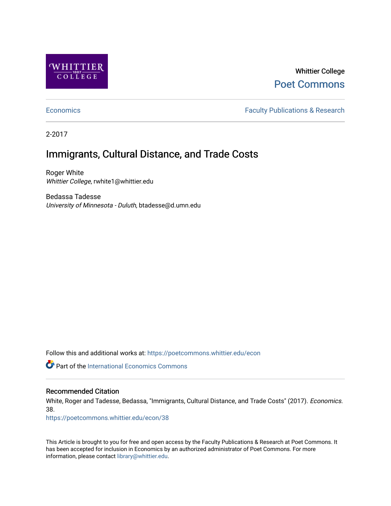

# Whittier College [Poet Commons](https://poetcommons.whittier.edu/)

[Economics](https://poetcommons.whittier.edu/econ) **Faculty Publications & Research** 

2-2017

# Immigrants, Cultural Distance, and Trade Costs

Roger White Whittier College, rwhite1@whittier.edu

Bedassa Tadesse University of Minnesota - Duluth, btadesse@d.umn.edu

Follow this and additional works at: [https://poetcommons.whittier.edu/econ](https://poetcommons.whittier.edu/econ?utm_source=poetcommons.whittier.edu%2Fecon%2F38&utm_medium=PDF&utm_campaign=PDFCoverPages)

**C** Part of the International Economics Commons

# Recommended Citation

White, Roger and Tadesse, Bedassa, "Immigrants, Cultural Distance, and Trade Costs" (2017). Economics. 38.

[https://poetcommons.whittier.edu/econ/38](https://poetcommons.whittier.edu/econ/38?utm_source=poetcommons.whittier.edu%2Fecon%2F38&utm_medium=PDF&utm_campaign=PDFCoverPages) 

This Article is brought to you for free and open access by the Faculty Publications & Research at Poet Commons. It has been accepted for inclusion in Economics by an authorized administrator of Poet Commons. For more information, please contact [library@whittier.edu.](mailto:library@whittier.edu)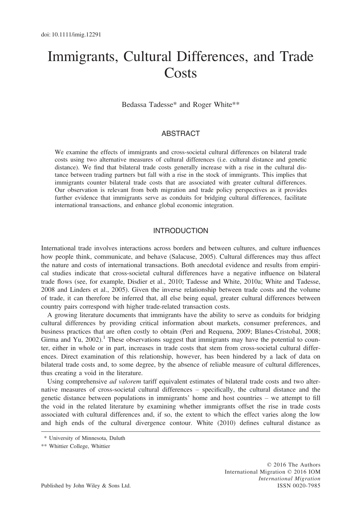# Immigrants, Cultural Differences, and Trade **Costs**

Bedassa Tadesse\* and Roger White\*\*

# **ABSTRACT**

We examine the effects of immigrants and cross-societal cultural differences on bilateral trade costs using two alternative measures of cultural differences (i.e. cultural distance and genetic distance). We find that bilateral trade costs generally increase with a rise in the cultural distance between trading partners but fall with a rise in the stock of immigrants. This implies that immigrants counter bilateral trade costs that are associated with greater cultural differences. Our observation is relevant from both migration and trade policy perspectives as it provides further evidence that immigrants serve as conduits for bridging cultural differences, facilitate international transactions, and enhance global economic integration.

# INTRODUCTION

International trade involves interactions across borders and between cultures, and culture influences how people think, communicate, and behave (Salacuse, 2005). Cultural differences may thus affect the nature and costs of international transactions. Both anecdotal evidence and results from empirical studies indicate that cross-societal cultural differences have a negative influence on bilateral trade flows (see, for example, Disdier et al., 2010; Tadesse and White, 2010a; White and Tadesse, 2008 and Linders et al., 2005). Given the inverse relationship between trade costs and the volume of trade, it can therefore be inferred that, all else being equal, greater cultural differences between country pairs correspond with higher trade-related transaction costs.

A growing literature documents that immigrants have the ability to serve as conduits for bridging cultural differences by providing critical information about markets, consumer preferences, and business practices that are often costly to obtain (Peri and Requena, 2009; Blanes-Cristobal, 2008; Girma and Yu,  $2002$ ).<sup>1</sup> These observations suggest that immigrants may have the potential to counter, either in whole or in part, increases in trade costs that stem from cross-societal cultural differences. Direct examination of this relationship, however, has been hindered by a lack of data on bilateral trade costs and, to some degree, by the absence of reliable measure of cultural differences, thus creating a void in the literature.

Using comprehensive *ad valorem* tariff equivalent estimates of bilateral trade costs and two alternative measures of cross-societal cultural differences – specifically, the cultural distance and the genetic distance between populations in immigrants' home and host countries – we attempt to fill the void in the related literature by examining whether immigrants offset the rise in trade costs associated with cultural differences and, if so, the extent to which the effect varies along the low and high ends of the cultural divergence contour. White (2010) defines cultural distance as

<sup>\*</sup> University of Minnesota, Duluth

<sup>\*\*</sup> Whittier College, Whittier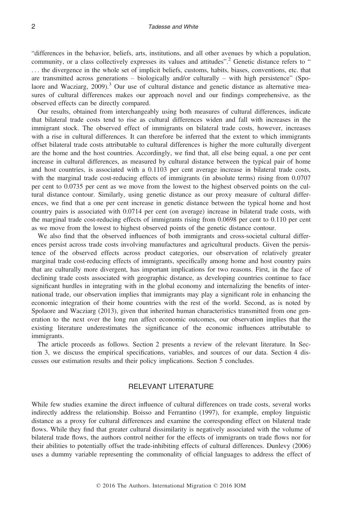"differences in the behavior, beliefs, arts, institutions, and all other avenues by which a population, community, or a class collectively expresses its values and attitudes".<sup>2</sup> Genetic distance refers to " ... the divergence in the whole set of implicit beliefs, customs, habits, biases, conventions, etc. that are transmitted across generations – biologically and/or culturally – with high persistence" (Spolaore and Wacziarg, 2009).<sup>3</sup> Our use of cultural distance and genetic distance as alternative measures of cultural differences makes our approach novel and our findings comprehensive, as the observed effects can be directly compared.

Our results, obtained from interchangeably using both measures of cultural differences, indicate that bilateral trade costs tend to rise as cultural differences widen and fall with increases in the immigrant stock. The observed effect of immigrants on bilateral trade costs, however, increases with a rise in cultural differences. It can therefore be inferred that the extent to which immigrants offset bilateral trade costs attributable to cultural differences is higher the more culturally divergent are the home and the host countries. Accordingly, we find that, all else being equal, a one per cent increase in cultural differences, as measured by cultural distance between the typical pair of home and host countries, is associated with a 0.1103 per cent average increase in bilateral trade costs, with the marginal trade cost-reducing effects of immigrants (in absolute terms) rising from 0.0707 per cent to 0.0735 per cent as we move from the lowest to the highest observed points on the cultural distance contour. Similarly, using genetic distance as our proxy measure of cultural differences, we find that a one per cent increase in genetic distance between the typical home and host country pairs is associated with 0.0714 per cent (on average) increase in bilateral trade costs, with the marginal trade cost-reducing effects of immigrants rising from 0.0698 per cent to 0.110 per cent as we move from the lowest to highest observed points of the genetic distance contour.

We also find that the observed influences of both immigrants and cross-societal cultural differences persist across trade costs involving manufactures and agricultural products. Given the persistence of the observed effects across product categories, our observation of relatively greater marginal trade cost-reducing effects of immigrants, specifically among home and host country pairs that are culturally more divergent, has important implications for two reasons. First, in the face of declining trade costs associated with geographic distance, as developing countries continue to face significant hurdles in integrating with in the global economy and internalizing the benefits of international trade, our observation implies that immigrants may play a significant role in enhancing the economic integration of their home countries with the rest of the world. Second, as is noted by Spolaore and Wacziarg (2013), given that inherited human characteristics transmitted from one generation to the next over the long run affect economic outcomes, our observation implies that the existing literature underestimates the significance of the economic influences attributable to immigrants.

The article proceeds as follows. Section 2 presents a review of the relevant literature. In Section 3, we discuss the empirical specifications, variables, and sources of our data. Section 4 discusses our estimation results and their policy implications. Section 5 concludes.

# RELEVANT LITERATURE

While few studies examine the direct influence of cultural differences on trade costs, several works indirectly address the relationship. Boisso and Ferrantino (1997), for example, employ linguistic distance as a proxy for cultural differences and examine the corresponding effect on bilateral trade flows. While they find that greater cultural dissimilarity is negatively associated with the volume of bilateral trade flows, the authors control neither for the effects of immigrants on trade flows nor for their abilities to potentially offset the trade-inhibiting effects of cultural differences. Dunlevy (2006) uses a dummy variable representing the commonality of official languages to address the effect of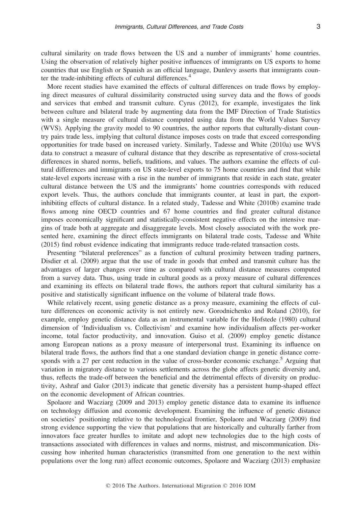cultural similarity on trade flows between the US and a number of immigrants' home countries. Using the observation of relatively higher positive influences of immigrants on US exports to home countries that use English or Spanish as an official language, Dunlevy asserts that immigrants counter the trade-inhibiting effects of cultural differences.<sup>4</sup>

More recent studies have examined the effects of cultural differences on trade flows by employing direct measures of cultural dissimilarity constructed using survey data and the flows of goods and services that embed and transmit culture. Cyrus (2012), for example, investigates the link between culture and bilateral trade by augmenting data from the IMF Direction of Trade Statistics with a single measure of cultural distance computed using data from the World Values Survey (WVS). Applying the gravity model to 90 countries, the author reports that culturally-distant country pairs trade less, implying that cultural distance imposes costs on trade that exceed corresponding opportunities for trade based on increased variety. Similarly, Tadesse and White (2010a) use WVS data to construct a measure of cultural distance that they describe as representative of cross-societal differences in shared norms, beliefs, traditions, and values. The authors examine the effects of cultural differences and immigrants on US state-level exports to 75 home countries and find that while state-level exports increase with a rise in the number of immigrants that reside in each state, greater cultural distance between the US and the immigrants' home countries corresponds with reduced export levels. Thus, the authors conclude that immigrants counter, at least in part, the exportinhibiting effects of cultural distance. In a related study, Tadesse and White (2010b) examine trade flows among nine OECD countries and 67 home countries and find greater cultural distance imposes economically significant and statistically-consistent negative effects on the intensive margins of trade both at aggregate and disaggregate levels. Most closely associated with the work presented here, examining the direct effects immigrants on bilateral trade costs, Tadesse and White (2015) find robust evidence indicating that immigrants reduce trade-related transaction costs.

Presenting "bilateral preferences" as a function of cultural proximity between trading partners, Disdier et al. (2009) argue that the use of trade in goods that embed and transmit culture has the advantages of larger changes over time as compared with cultural distance measures computed from a survey data. Thus, using trade in cultural goods as a proxy measure of cultural differences and examining its effects on bilateral trade flows, the authors report that cultural similarity has a positive and statistically significant influence on the volume of bilateral trade flows.

While relatively recent, using genetic distance as a proxy measure, examining the effects of culture differences on economic activity is not entirely new. Gorodnichenko and Roland (2010), for example, employ genetic distance data as an instrumental variable for the Hofstede (1980) cultural dimension of 'Individualism vs. Collectivism' and examine how individualism affects per-worker income, total factor productivity, and innovation. Guiso et al. (2009) employ genetic distance among European nations as a proxy measure of interpersonal trust. Examining its influence on bilateral trade flows, the authors find that a one standard deviation change in genetic distance corresponds with a 27 per cent reduction in the value of cross-border economic exchange.<sup>5</sup> Arguing that variation in migratory distance to various settlements across the globe affects genetic diversity and, thus, reflects the trade-off between the beneficial and the detrimental effects of diversity on productivity, Ashraf and Galor (2013) indicate that genetic diversity has a persistent hump-shaped effect on the economic development of African countries.

Spolaore and Wacziarg (2009 and 2013) employ genetic distance data to examine its influence on technology diffusion and economic development. Examining the influence of genetic distance on societies' positioning relative to the technological frontier, Spolaore and Wacziarg (2009) find strong evidence supporting the view that populations that are historically and culturally farther from innovators face greater hurdles to imitate and adopt new technologies due to the high costs of transactions associated with differences in values and norms, mistrust, and miscommunication. Discussing how inherited human characteristics (transmitted from one generation to the next within populations over the long run) affect economic outcomes, Spolaore and Wacziarg (2013) emphasize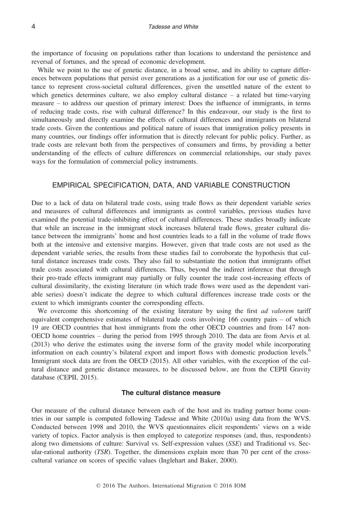the importance of focusing on populations rather than locations to understand the persistence and reversal of fortunes, and the spread of economic development.

While we point to the use of genetic distance, in a broad sense, and its ability to capture differences between populations that persist over generations as a justification for our use of genetic distance to represent cross-societal cultural differences, given the unsettled nature of the extent to which genetics determines culture, we also employ cultural distance – a related but time-varying measure – to address our question of primary interest: Does the influence of immigrants, in terms of reducing trade costs, rise with cultural difference? In this endeavour, our study is the first to simultaneously and directly examine the effects of cultural differences and immigrants on bilateral trade costs. Given the contentious and political nature of issues that immigration policy presents in many countries, our findings offer information that is directly relevant for public policy. Further, as trade costs are relevant both from the perspectives of consumers and firms, by providing a better understanding of the effects of culture differences on commercial relationships, our study paves ways for the formulation of commercial policy instruments.

### EMPIRICAL SPECIFICATION, DATA, AND VARIABLE CONSTRUCTION

Due to a lack of data on bilateral trade costs, using trade flows as their dependent variable series and measures of cultural differences and immigrants as control variables, previous studies have examined the potential trade-inhibiting effect of cultural differences. These studies broadly indicate that while an increase in the immigrant stock increases bilateral trade flows, greater cultural distance between the immigrants' home and host countries leads to a fall in the volume of trade flows both at the intensive and extensive margins. However, given that trade costs are not used as the dependent variable series, the results from these studies fail to corroborate the hypothesis that cultural distance increases trade costs. They also fail to substantiate the notion that immigrants offset trade costs associated with cultural differences. Thus, beyond the indirect inference that through their pro-trade effects immigrant may partially or fully counter the trade cost-increasing effects of cultural dissimilarity, the existing literature (in which trade flows were used as the dependent variable series) doesn't indicate the degree to which cultural differences increase trade costs or the extent to which immigrants counter the corresponding effects.

We overcome this shortcoming of the existing literature by using the first *ad valorem* tariff equivalent comprehensive estimates of bilateral trade costs involving 166 country pairs – of which 19 are OECD countries that host immigrants from the other OECD countries and from 147 non-OECD home countries – during the period from 1995 through 2010. The data are from Arvis et al. (2013) who derive the estimates using the inverse form of the gravity model while incorporating information on each country's bilateral export and import flows with domestic production levels.<sup>6</sup> Immigrant stock data are from the OECD (2015). All other variables, with the exception of the cultural distance and genetic distance measures, to be discussed below, are from the CEPII Gravity database (CEPII, 2015).

#### The cultural distance measure

Our measure of the cultural distance between each of the host and its trading partner home countries in our sample is computed following Tadesse and White (2010a) using data from the WVS. Conducted between 1998 and 2010, the WVS questionnaires elicit respondents' views on a wide variety of topics. Factor analysis is then employed to categorize responses (and, thus, respondents) along two dimensions of culture: Survival vs. Self-expression values (SSE) and Traditional vs. Secular-rational authority (TSR). Together, the dimensions explain more than 70 per cent of the crosscultural variance on scores of specific values (Inglehart and Baker, 2000).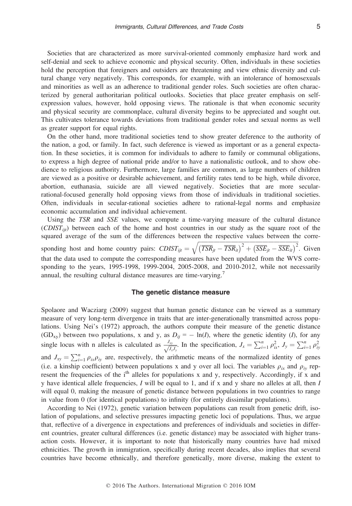Societies that are characterized as more survival-oriented commonly emphasize hard work and self-denial and seek to achieve economic and physical security. Often, individuals in these societies hold the perception that foreigners and outsiders are threatening and view ethnic diversity and cultural change very negatively. This corresponds, for example, with an intolerance of homosexuals and minorities as well as an adherence to traditional gender roles. Such societies are often characterized by general authoritarian political outlooks. Societies that place greater emphasis on selfexpression values, however, hold opposing views. The rationale is that when economic security and physical security are commonplace, cultural diversity begins to be appreciated and sought out. This cultivates tolerance towards deviations from traditional gender roles and sexual norms as well as greater support for equal rights.

On the other hand, more traditional societies tend to show greater deference to the authority of the nation, a god, or family. In fact, such deference is viewed as important or as a general expectation. In these societies, it is common for individuals to adhere to family or communal obligations, to express a high degree of national pride and/or to have a nationalistic outlook, and to show obedience to religious authority. Furthermore, large families are common, as large numbers of children are viewed as a positive or desirable achievement, and fertility rates tend to be high, while divorce, abortion, euthanasia, suicide are all viewed negatively. Societies that are more secularrational-focused generally hold opposing views from those of individuals in traditional societies. Often, individuals in secular-rational societies adhere to rational-legal norms and emphasize economic accumulation and individual achievement.

Using the TSR and SSE values, we compute a time-varying measure of the cultural distance  $(CDIST_{ii})$  between each of the home and host countries in our study as the square root of the squared average of the sum of the differences between the respective values between the corresponding host and home country pairs:  $CDIST_{ijt} = \sqrt{(\overline{TSR}_{jt} - \overline{TSR}_{it})^2 + (\overline{SSE}_{jt} - \overline{SSE}_{it})^2}$ . Given that the data used to compute the corresponding measures have been updated from the WVS corresponding to the years, 1995-1998, 1999-2004, 2005-2008, and 2010-2012, while not necessarily annual, the resulting cultural distance measures are time-varying.<sup>7</sup>

#### The genetic distance measure

Spolaore and Wacziarg (2009) suggest that human genetic distance can be viewed as a summary measure of very long-term divergence in traits that are inter-generationally transmitted across populations. Using Nei's (1972) approach, the authors compute their measure of the genetic distance (GD<sub>xy</sub>) between two populations, x and y, as  $D_{ij} = -\ln(I)$ , where the genetic identity (I), for any single locus with n alleles is calculated as  $\frac{J_{xy}}{\sqrt{J_xJ_y}}$ . In the specification,  $J_x = \sum_{i=1}^n \rho_{ix}^2$ ,  $J_y = \sum_{i=1}^n \rho_{iy}^2$ and  $J_{xy} = \sum_{i=1}^{n} \rho_{ix}\rho_{iy}$  are, respectively, the arithmetic means of the normalized identity of genes (i.e. a kinship coefficient) between populations x and y over all loci. The variables  $\rho_{ix}$  and  $\rho_{iy}$  represent the frequencies of the i<sup>th</sup> alleles for populations x and y, respectively. Accordingly, if x and y have identical allele frequencies,  $I$  will be equal to 1, and if x and y share no alleles at all, then  $I$ will equal 0, making the measure of genetic distance between populations in two countries to range in value from 0 (for identical populations) to infinity (for entirely dissimilar populations).

According to Nei (1972), genetic variation between populations can result from genetic drift, isolation of populations, and selective pressures impacting genetic loci of populations. Thus, we argue that, reflective of a divergence in expectations and preferences of individuals and societies in different countries, greater cultural differences (i.e. genetic distance) may be associated with higher transaction costs. However, it is important to note that historically many countries have had mixed ethnicities. The growth in immigration, specifically during recent decades, also implies that several countries have become ethnically, and therefore genetically, more diverse, making the extent to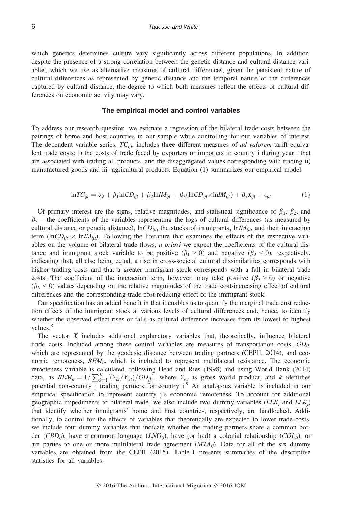which genetics determines culture vary significantly across different populations. In addition, despite the presence of a strong correlation between the genetic distance and cultural distance variables, which we use as alternative measures of cultural differences, given the persistent nature of cultural differences as represented by genetic distance and the temporal nature of the differences captured by cultural distance, the degree to which both measures reflect the effects of cultural differences on economic activity may vary.

### The empirical model and control variables

To address our research question, we estimate a regression of the bilateral trade costs between the pairings of home and host countries in our sample while controlling for our variables of interest. The dependent variable series,  $TC_{ii}$ , includes three different measures of *ad valorem* tariff equivalent trade costs: i) the costs of trade faced by exporters or importers in country i during year t that are associated with trading all products, and the disaggregated values corresponding with trading ii) manufactured goods and iii) agricultural products. Equation (1) summarizes our empirical model.

$$
\ln TC_{ijt} = \alpha_0 + \beta_1 \ln CD_{ijt} + \beta_2 \ln IM_{ijt} + \beta_3 (\ln CD_{ijt} \times \ln IM_{ijt}) + \beta_x \mathbf{x}_{ijt} + \epsilon_{ijt} \tag{1}
$$

Of primary interest are the signs, relative magnitudes, and statistical significance of  $\beta_1$ ,  $\beta_2$ , and  $\beta_3$  – the coefficients of the variables representing the logs of cultural differences (as measured by cultural distance or genetic distance),  $lnCD_{ii}$ , the stocks of immigrants,  $lnIM_{ii}$ , and their interaction term ( $lnCD_{ii} \times lnIM_{ii}$ ). Following the literature that examines the effects of the respective variables on the volume of bilateral trade flows, *a priori* we expect the coefficients of the cultural distance and immigrant stock variable to be positive  $(\beta_1 > 0)$  and negative  $(\beta_2 < 0)$ , respectively, indicating that, all else being equal, a rise in cross-societal cultural dissimilarities corresponds with higher trading costs and that a greater immigrant stock corresponds with a fall in bilateral trade costs. The coefficient of the interaction term, however, may take positive  $(\beta_3 > 0)$  or negative  $(\beta_3 < 0)$  values depending on the relative magnitudes of the trade cost-increasing effect of cultural differences and the corresponding trade cost-reducing effect of the immigrant stock.

Our specification has an added benefit in that it enables us to quantify the marginal trade cost reduction effects of the immigrant stock at various levels of cultural differences and, hence, to identify whether the observed effect rises or falls as cultural difference increases from its lowest to highest values.<sup>8</sup>

The vector  $X$  includes additional explanatory variables that, theoretically, influence bilateral trade costs. Included among these control variables are measures of transportation costs,  $GD_{ii}$ , which are represented by the geodesic distance between trading partners (CEPII, 2014), and economic remoteness,  $REM_{ii}$ , which is included to represent multilateral resistance. The economic remoteness variable is calculated, following Head and Ries (1998) and using World Bank (2014) data, as  $REM_{it} = 1 / \sum_{k=1}^{K} [(Y_{kt}/Y_{wt})/GD_{ik}],$  where  $Y_{wt}$  is gross world product, and k identifies potential non-country j trading partners for country i.<sup>9</sup> An analogous variable is included in our empirical specification to represent country j's economic remoteness. To account for additional geographic impediments to bilateral trade, we also include two dummy variables  $(LLK<sub>i</sub>$  and  $LLK<sub>i</sub>)$ that identify whether immigrants' home and host countries, respectively, are landlocked. Additionally, to control for the effects of variables that theoretically are expected to lower trade costs, we include four dummy variables that indicate whether the trading partners share a common border  $(CBD_{ii})$ , have a common language  $(LNG_{ii})$ , have (or had) a colonial relationship  $(COL_{ii})$ , or are parties to one or more multilateral trade agreement  $(MTA_{ii})$ . Data for all of the six dummy variables are obtained from the CEPII (2015). Table 1 presents summaries of the descriptive statistics for all variables.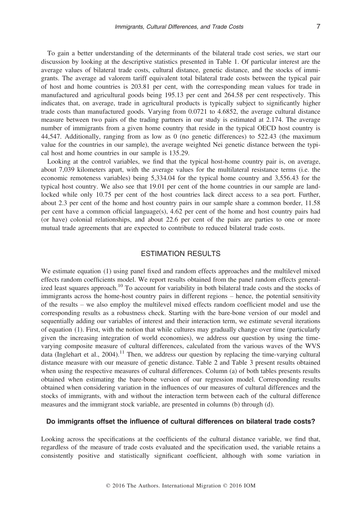To gain a better understanding of the determinants of the bilateral trade cost series, we start our discussion by looking at the descriptive statistics presented in Table 1. Of particular interest are the average values of bilateral trade costs, cultural distance, genetic distance, and the stocks of immigrants. The average ad valorem tariff equivalent total bilateral trade costs between the typical pair of host and home countries is 203.81 per cent, with the corresponding mean values for trade in manufactured and agricultural goods being 195.13 per cent and 264.58 per cent respectively. This indicates that, on average, trade in agricultural products is typically subject to significantly higher trade costs than manufactured goods. Varying from 0.0721 to 4.6852, the average cultural distance measure between two pairs of the trading partners in our study is estimated at 2.174. The average number of immigrants from a given home country that reside in the typical OECD host country is 44,547. Additionally, ranging from as low as 0 (no genetic differences) to 522.43 (the maximum value for the countries in our sample), the average weighted Nei genetic distance between the typical host and home countries in our sample is 135.29.

Looking at the control variables, we find that the typical host-home country pair is, on average, about 7,039 kilometers apart, with the average values for the multilateral resistance terms (i.e. the economic remoteness variables) being 5,334.04 for the typical home country and 3,556.43 for the typical host country. We also see that 19.01 per cent of the home countries in our sample are landlocked while only 10.75 per cent of the host countries lack direct access to a sea port. Further, about 2.3 per cent of the home and host country pairs in our sample share a common border, 11.58 per cent have a common official language(s), 4.62 per cent of the home and host country pairs had (or have) colonial relationships, and about 22.6 per cent of the pairs are parties to one or more mutual trade agreements that are expected to contribute to reduced bilateral trade costs.

### ESTIMATION RESULTS

We estimate equation (1) using panel fixed and random effects approaches and the multilevel mixed effects random coefficients model. We report results obtained from the panel random effects generalized least squares approach.<sup>10</sup> To account for variability in both bilateral trade costs and the stocks of immigrants across the home-host country pairs in different regions – hence, the potential sensitivity of the results – we also employ the multilevel mixed effects random coefficient model and use the corresponding results as a robustness check. Starting with the bare-bone version of our model and sequentially adding our variables of interest and their interaction term, we estimate several iterations of equation (1). First, with the notion that while cultures may gradually change over time (particularly given the increasing integration of world economies), we address our question by using the timevarying composite measure of cultural differences, calculated from the various waves of the WVS data (Inglehart et al., 2004).<sup>11</sup> Then, we address our question by replacing the time-varying cultural distance measure with our measure of genetic distance. Table 2 and Table 3 present results obtained when using the respective measures of cultural differences. Column (a) of both tables presents results obtained when estimating the bare-bone version of our regression model. Corresponding results obtained when considering variation in the influences of our measures of cultural differences and the stocks of immigrants, with and without the interaction term between each of the cultural difference measures and the immigrant stock variable, are presented in columns (b) through (d).

#### Do immigrants offset the influence of cultural differences on bilateral trade costs?

Looking across the specifications at the coefficients of the cultural distance variable, we find that, regardless of the measure of trade costs evaluated and the specification used, the variable retains a consistently positive and statistically significant coefficient, although with some variation in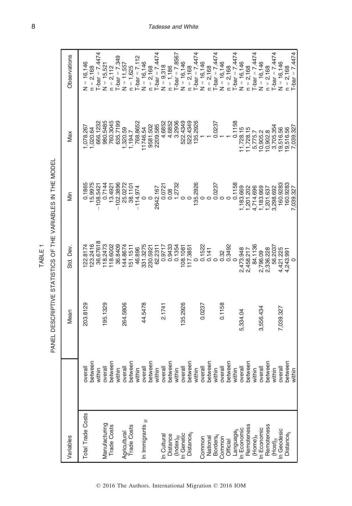| ۰       |  |
|---------|--|
| ı<br>U. |  |
|         |  |
| Ξ       |  |
|         |  |
|         |  |

PANEL DESCRIPTIVE STATISTICS OF THE VARIABLES IN THE MODEL PANEL DESCRIPTIVE STATISTICS OF THE VARIABLES IN THE MODEL

| Variables                                              |                                            | Mean               | Std. Dev.                                | İin                                             | Max                                        | Observations                                                         |
|--------------------------------------------------------|--------------------------------------------|--------------------|------------------------------------------|-------------------------------------------------|--------------------------------------------|----------------------------------------------------------------------|
| <b>Total Trade Costs</b>                               | etween<br>overall<br>within<br>≏           | 203.8129           | 36.67618<br>23.2416<br>22.8174           | 0.1865<br>15.9975<br>$-108.5421$                | 666.1232<br>078.267<br>,020.64             | $T$ -bar = 7.4474<br>$N = 16,146$<br>$n = 2,168$                     |
| Manufacturing<br>Trade Costs                           | etween<br>overall<br>ᅀ                     | 195.1329           | 118.2473<br>118.6002                     | 0.7144<br>13.4921                               | 980.5485<br>760.3045<br>635.7199           | $T$ -bar = 7.349<br>$N = 15,521$<br>$n = 2,112$                      |
| Trade Costs<br>Agricultural                            | etween<br>overall<br>within<br>within<br>ഛ | 264.5806           | 36.8409<br>144.8674<br>51.1511<br>46.896 | $-102.3896$<br>25.0272<br>38.1101<br>$-114.974$ | 768.8652<br>,320.59<br>1,194.7             | $T-bar = 7.112$<br>$N = 11,557$<br>$n = 1,625$                       |
| In Immigrants ijt                                      | etween<br>overall<br>within<br>ᅀ           | 44.5478            | 331.3275<br>230.5921                     | $\circ$                                         | 9581.502<br>2209.585<br>1746.54            | $-$ -bar = 7.4474<br>$N = 16,146$<br>$n = 2,168$                     |
| In Cultural<br>Distance                                | between<br>overall                         | 2.1741             | 0.9433<br>62.2311<br>0.9717              | 0.0721<br>2642.167<br>0.08                      | 4.6852<br>4.6852                           | $n = 1,186$<br>$N = 9,318$                                           |
| Distance <sub>i</sub><br>In Genetic<br>$(Index)_{ijt}$ | between<br>overall<br>within<br>within     | 135.2926           | 0.1354<br>08.1081<br>117.3851            | 135.2926<br>1.2732<br>$\circ$<br>O              | 3.2906<br>522.4349<br>522.4349<br>135.2926 | $T$ -bar = 7.8567<br>$T-bar = 7.4474$<br>$N = 16,146$<br>$n = 2,168$ |
| Borders <sub>ij</sub><br>National<br>Common            | etween<br>overall<br>within<br>Q           | 0.0237             | 0.1522<br>0.141<br>$\circ$               | 0.0237<br>0                                     | 0.0237                                     | $T$ -bar = 7.4474<br>$N = 16,146$<br>$n = 2,168$                     |
| Language <sub>ij</sub><br>In Economic<br>Official      | netween<br>overall<br>betwee<br>within     | 0.1158<br>5,334.04 | 0.3492<br>2,473.948<br>0.32              | 0.1158<br>,183.669<br>$\circ$                   | 0.1158<br>11,728.15                        | $-$ bar = 7.4474<br>$N = 16,146$<br>$N = 16,146$<br>$n = 2,168$      |
| Remoteness<br>In Economic<br>(Home) <sub>it</sub>      | overall<br>between<br>overall<br>within    | 3,556.434          | 84.1136<br>2,458.217<br>2,796.09         | 4,714.696<br>,183.669<br>,201.202               | 11,728.15<br>5,775.7<br>10,905.2           | $-$ -bar = 7.4474<br>$N = 16,146$<br>$n = 2,168$                     |
| Remoteness<br>(Host) <sub>it</sub><br>In Geodesic      | between<br>within                          |                    | 56.2037<br>2,336.228                     | 3,298.692<br>1,201.637                          | 3,705.354<br>10,902.8                      | $T$ -bar = 7.4474<br>$n = 2,168$                                     |
| Distance <sub>ii</sub>                                 | between<br>overall<br>within               | 7,039.327          | 4,421.225<br>4,243.991                   | 160.9283<br>160.9283<br>7,039.327               | 7,039.327<br>19,516.56<br>19,516.56        | T-bar = $7.4474$<br>$N = 16,146$<br>$n = 2,168$                      |

Г

┱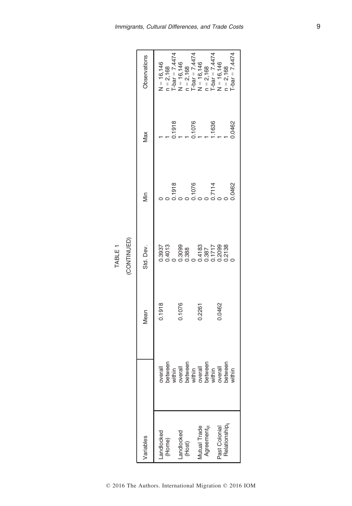|                          |                                                                                                                      |        | TABLE 1     |                        |        |                                                                                        |
|--------------------------|----------------------------------------------------------------------------------------------------------------------|--------|-------------|------------------------|--------|----------------------------------------------------------------------------------------|
|                          |                                                                                                                      |        | (CONTINUED) |                        |        |                                                                                        |
| Variables                |                                                                                                                      | Mean   | Std. Dev.   | Niin                   | Max    | Observations                                                                           |
| Landlocked               |                                                                                                                      | 0.1918 | 0.3937      |                        |        | $N = 16,146$                                                                           |
| (Home)                   |                                                                                                                      |        | 0.4013      |                        |        |                                                                                        |
|                          | overall<br>between<br>between<br>within<br>overall<br>between<br>between<br>overall<br>overall<br>overall<br>overall | 0.1076 |             | 0.1918                 | 0.1918 | $n = 2,168$<br>$T-bar = 7.4474$<br>$N = 16,146$                                        |
| Landlocked<br>(Host)     |                                                                                                                      |        |             |                        |        | $n = 2,168$                                                                            |
|                          |                                                                                                                      |        |             |                        | 0.1076 |                                                                                        |
| Mutual Trade             |                                                                                                                      | 0.2261 |             | $0.076$<br>$0.0000000$ |        | T-bar = 7.4474<br>N = 16,146<br>n = 2,168<br>T-bar = 7.4474<br>N = 16,146<br>n = 2,168 |
| Agreement <sub>iit</sub> |                                                                                                                      |        |             |                        |        |                                                                                        |
|                          |                                                                                                                      |        |             |                        | 1.1636 |                                                                                        |
| Past Colonial            |                                                                                                                      | 0.0462 |             |                        |        |                                                                                        |
| Relationshipij           |                                                                                                                      |        |             |                        |        |                                                                                        |
|                          |                                                                                                                      |        |             | 0.0462                 | 0.0462 | $T-bar = 7.4474$                                                                       |
|                          |                                                                                                                      |        |             |                        |        |                                                                                        |

© 2016 The Authors. International Migration © 2016 IOM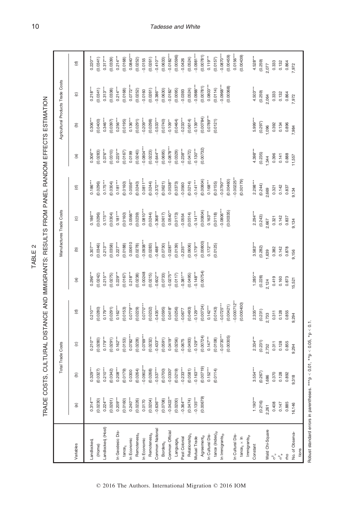| ╲<br>٢ |
|--------|
|        |
|        |
| г      |

TRADE COSTS, CULTURAL DISTANCE AND IMMIGRANTS: RESULTS FROM PANEL RANDOM EFFECTS ESTIMATION TRADE COSTS, CULTURAL DISTANCE AND IMMIGRANTS: RESULTS FROM PANEL RANDOM EFFECTS ESTIMATION

|                                |               |              | <b>Total Trade Costs</b> |               |               |              | Manufactures Trade Costs |                    |               |             | Agricultural Products Trade Costs |              |
|--------------------------------|---------------|--------------|--------------------------|---------------|---------------|--------------|--------------------------|--------------------|---------------|-------------|-----------------------------------|--------------|
| Variables                      | $\widehat{a}$ |              | $\circledcirc$           | €             | $\widehat{a}$ | ê            | $\circledcirc$           | $\widehat{\sigma}$ | $\widehat{a}$ | ê           | T                                 | €            |
| Landlocked                     | $0.314***$    | $0.329***$   | $0.210***$               | $0.210***$    | $0.296***$    | $0.307***$   | $0.186***$               | $0.186***$         | $0.306***$    | $0.306***$  | $0.218***$                        | $0.220***$   |
| (Home)                         | (0.0230)      | (0.0327)     | (0.0280)                 | (0.0280)      | (0.0242)      | (0.0346)     | (0.0296)                 | (0.0296)           | (0.0283)      | (0.0400)    | (0.0341)                          | (0.0341)     |
| Landlocked <sub>i</sub> (Host) | $0.224***$    | $0.210***$   | $0.179***$               | $0.179***$    | $0.215***$    | $0.213***$   | $0.175***$               | $0.175***$         | $0.376***$    | $0.346***$  | $0.313***$                        | $0.317***$   |
|                                | (0.0261)      | (0.0342)     | (0.0291)                 | (0.0291)      | (0.0275)      | (0.0358)     | (0.0304)                 | (0.0304)           | (0.0310)      | (0.0397)    | (0.0338)                          | (0.0339)     |
| In Geodesic Dis-               | $0.209***$    | $0.208***$   | $0.162***$               | $0.162***$    | $0.229***$    | $0.227**$    | $0.181***$               | $0.181***$         | $0.225***$    | $0.256***$  | $0.214***$                        | $0.214***$   |
| tance <sub>ij</sub>            | (0.0160)      | (6.0179)     | (0.0153)                 | (0.0153)      | (0.0167)      | (0.0188)     | (0.0160)                 | (0.0160)           | (0.0167)      | (0.0195)    | (0.0168)                          | (0.0168)     |
| In Economic                    | $0.240***$    | 0.0300       | $0.0782***$              | $0.0779***$   | $0.218***$    | 0.00610      | $0.0566**$               | $0.0556**$         | 0.0199        | $0.136***$  | $0.0772***$                       | $0.0840***$  |
| Remoteness                     | (0.0226)      | (0.0264)     | (0.0228)                 | (0.0229)      | (0.0238)      | (0.0278)     | (0.0239)                 | (0.0240)           | (0.0240)      | (0.0291)    | (0.0252)                          | (0.0252)     |
| In Economic                    | 0.0170        | $-0.0902***$ | $0.0769**$               | 0.0770***     | 0.00248       | $-0.0938***$ | $0.0810***$              | $0.0811***$        | $-0.0804***$  | $-0.209***$ | $-0.0160$                         | $-0.0155$    |
| Remoteness                     | (0.0204)      | (0.0268)     | (0.0232)                 | (0.0232)      | (0.0215)      | (0.0283)     | (0.0244)                 | (0.0244)           | (0.0223)      | (0.0298)    | (0.0261)                          | (0.0261)     |
| <b>Common National</b>         | $-0.636***$   | $-0.537***$  | $-0.433***$              | $-0.435***$   | $-0.602***$   | $-0.488***$  | $-0.368***$              | $-0.372***$        | $-0.644***$   | $-0.533***$ | $-0.386***$                       | $-0.410***$  |
| Borders <sub>ij</sub>          | (0.0708)      | (0.0700)     | (0.0591)                 | (0.0595)      | (0.0733)      | (0.0730)     | (0.0617)                 | (0.0621)           | (0.0695)      | (0.0740)    | (0.0630)                          | (0.0633)     |
| Common Official                | $-0.0422**$   | $-0.0330*$   | $0.0419*$                | $0.0418*$     | $-0.0275**$   | $-0.0287**$  | $0.0540**$               | $0.0538**$         | $-0.0878***$  | $-0.109**$  | $-0.0182*$                        | $-0.0182***$ |
| Language <sub>ij</sub>         | (0.0200)      | (0.0219)     | (0.0256)                 | (0.0256)      | (0.0117)      | (0.0139)     | (0.0173)                 | (0.0373)           | (0.0329)      | (0.0464)    | (0.0095)                          | (0.00596)    |
| Past Colonial                  | $-0.364***$   | $-0.233***$  | $-0.0675$                | $-0.0677$     | $-0.381***$   | $0.235***$   | $-0.0554$                | $-0.0560$          | $-0.238***$   | $-0.233***$ | $-0.0393$                         | $-0.0426$    |
| Relationship                   | (0.0474)      | (0.0581)     | (0.0493)                 | (0.0493)      | (0.0495)      | (0.0606)     | (0.0514)                 | (0.0214)           | (0.0472)      | (0.0614)    | (0.0524)                          | (0.0524)     |
| Mutual Trade                   | $-0.135***$   | $-0.163***$  | $-0.129***$              | $-0.129***$   | $-0.148***$   | $0.179***$   | $-0.141***$              | $-0.141***$        | $-0.130***$   | $-0.139***$ | $-0.0988***$                      | $-0.0981***$ |
| Agreement <sub>it</sub>        | (0.00679)     | (0.00719)    | (0.00724)                | (0.00724)     | (0.00754      | 0.00800      | (0.00804)                | (0.0804)           | (0.00732)     | (0.00784)   | (0.00781)                         | (0.00781)    |
| In Cultural Dis-               |               | $0.152***$   | $0.147***$               | $0.142***$    |               | $0.172***$   | $0.163***$               | $0.168***$         |               | $0.0789***$ | $0.0803***$                       | $0.119***$   |
| tance (Index) <sub>iit</sub>   |               | (0.0114)     | (0.0108)                 | (0.0143)      |               | (0.0125)     | (0.0118)                 | (0.0155)           |               | (0.0121)    | (0.0114)                          | (0.0157)     |
| In Immigrants <sub>iit</sub>   |               |              | $0.0730***$              | $0.0725***$   |               |              | $0.0806***$              | $-0.0790***$       |               |             | $0.0968***$                       | $-0.0870***$ |
|                                |               |              | (0.00305)                | (0.00421)     |               |              | (0.00335)                | (0.00460)          |               |             | (0.00368)                         | (0.00459)    |
| In Cultural Dis-               |               |              |                          | $0.000712***$ |               |              |                          | $0.00225**$        |               |             |                                   | $0.0156***$  |
| $tance_{ij} \times ln$         |               |              |                          | (0.000400)    |               |              |                          | (0.00179)          |               |             |                                   | (6.6439)     |
| Immigrants <sub>ijt</sub>      |               |              |                          |               |               |              |                          |                    |               |             |                                   |              |
| Constant                       | $1.190***$    | $3.554***$   | $2.334***$               | $2.335***$    | $1.285***$    | $3.583***$   | $2.294***$               | $2.298***$         | $4.398***$    | 5.999***    | $4.503***$                        | $4.528***$   |
|                                | (0.216)       | (0.267)      | (0.231)                  | (0.231)       | (0.228)       | (0.282)      | (0.243)                  | (0.244)            | (0.235)       | (0.297)     | (0.259)                           | (0.259)      |
| Wald Chi-Square                | 2,261         | 1,686        | 2,732                    | 2,733         | 2,124         | 1,639        | 2,667                    | 2,669              | 1,344         | 1,096       | 2,064                             | 2,077        |
| $\sigma_{\rm c}$               | 0.408         | 0.370        | 0.311                    | 0.311         | 0.419         | 0.382        | 0.321                    | 0.321              | 0.396         | 0.392       | 0.333                             | 0.333        |
| $\delta_{\rm e}$               | 0.147         | 0.128        | 0.128<br>0.855           | 0.128         | 0.160         | 0.142        | 0.142                    | 0.142              | 0.141         | 0.134       | 0.132                             | 0.132        |
| Ê                              | 0.885         | 0.892        |                          | 0.855         | 0.873         | 0.878        | 0.837                    | 0.837              | 0.888         | 0.896       | 0.864                             | 0.864        |
| No. of Observa-                | 16,146        | 9,318        | 9,294                    | 9,294         | 15,521        | 9,156        | 9,134                    | 9,134              | 11,557        | 7,984       | 7,972                             | 7,972        |
| tions                          |               |              |                          |               |               |              |                          |                    |               |             |                                   |              |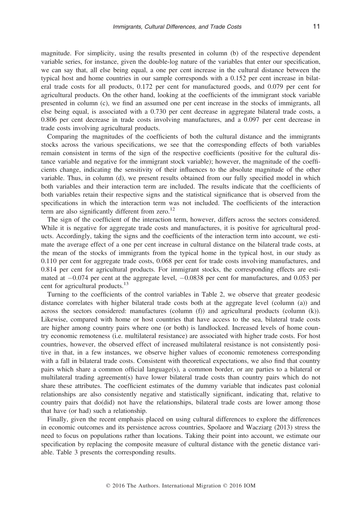magnitude. For simplicity, using the results presented in column (b) of the respective dependent variable series, for instance, given the double-log nature of the variables that enter our specification, we can say that, all else being equal, a one per cent increase in the cultural distance between the typical host and home countries in our sample corresponds with a 0.152 per cent increase in bilateral trade costs for all products, 0.172 per cent for manufactured goods, and 0.079 per cent for agricultural products. On the other hand, looking at the coefficients of the immigrant stock variable presented in column (c), we find an assumed one per cent increase in the stocks of immigrants, all else being equal, is associated with a 0.730 per cent decrease in aggregate bilateral trade costs, a 0.806 per cent decrease in trade costs involving manufactures, and a 0.097 per cent decrease in trade costs involving agricultural products.

Comparing the magnitudes of the coefficients of both the cultural distance and the immigrants stocks across the various specifications, we see that the corresponding effects of both variables remain consistent in terms of the sign of the respective coefficients (positive for the cultural distance variable and negative for the immigrant stock variable); however, the magnitude of the coefficients change, indicating the sensitivity of their influences to the absolute magnitude of the other variable. Thus, in column (d), we present results obtained from our fully specified model in which both variables and their interaction term are included. The results indicate that the coefficients of both variables retain their respective signs and the statistical significance that is observed from the specifications in which the interaction term was not included. The coefficients of the interaction term are also significantly different from zero. $^{12}$ 

The sign of the coefficient of the interaction term, however, differs across the sectors considered. While it is negative for aggregate trade costs and manufactures, it is positive for agricultural products. Accordingly, taking the signs and the coefficients of the interaction term into account, we estimate the average effect of a one per cent increase in cultural distance on the bilateral trade costs, at the mean of the stocks of immigrants from the typical home in the typical host, in our study as 0.110 per cent for aggregate trade costs, 0.068 per cent for trade costs involving manufactures, and 0.814 per cent for agricultural products. For immigrant stocks, the corresponding effects are estimated at  $-0.074$  per cent at the aggregate level,  $-0.0838$  per cent for manufactures, and 0.053 per cent for agricultural products.<sup>13</sup>

Turning to the coefficients of the control variables in Table 2, we observe that greater geodesic distance correlates with higher bilateral trade costs both at the aggregate level (column (a)) and across the sectors considered: manufactures (column (f)) and agricultural products (column (k)). Likewise, compared with home or host countries that have access to the sea, bilateral trade costs are higher among country pairs where one (or both) is landlocked. Increased levels of home country economic remoteness (i.e. multilateral resistance) are associated with higher trade costs. For host countries, however, the observed effect of increased multilateral resistance is not consistently positive in that, in a few instances, we observe higher values of economic remoteness corresponding with a fall in bilateral trade costs. Consistent with theoretical expectations, we also find that country pairs which share a common official language(s), a common border, or are parties to a bilateral or multilateral trading agreement(s) have lower bilateral trade costs than country pairs which do not share these attributes. The coefficient estimates of the dummy variable that indicates past colonial relationships are also consistently negative and statistically significant, indicating that, relative to country pairs that do(did) not have the relationships, bilateral trade costs are lower among those that have (or had) such a relationship.

Finally, given the recent emphasis placed on using cultural differences to explore the differences in economic outcomes and its persistence across countries, Spolaore and Wacziarg (2013) stress the need to focus on populations rather than locations. Taking their point into account, we estimate our specification by replacing the composite measure of cultural distance with the genetic distance variable. Table 3 presents the corresponding results.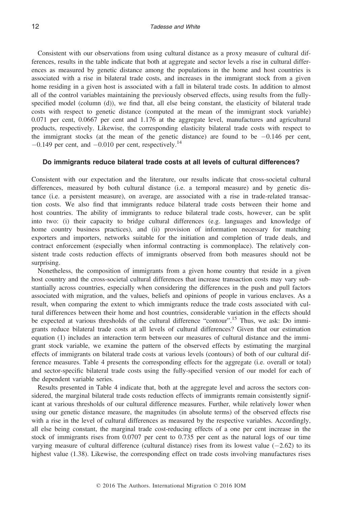Consistent with our observations from using cultural distance as a proxy measure of cultural differences, results in the table indicate that both at aggregate and sector levels a rise in cultural differences as measured by genetic distance among the populations in the home and host countries is associated with a rise in bilateral trade costs, and increases in the immigrant stock from a given home residing in a given host is associated with a fall in bilateral trade costs. In addition to almost all of the control variables maintaining the previously observed effects, using results from the fullyspecified model (column (d)), we find that, all else being constant, the elasticity of bilateral trade costs with respect to genetic distance (computed at the mean of the immigrant stock variable) 0.071 per cent, 0.0667 per cent and 1.176 at the aggregate level, manufactures and agricultural products, respectively. Likewise, the corresponding elasticity bilateral trade costs with respect to the immigrant stocks (at the mean of the genetic distance) are found to be  $-0.146$  per cent,  $-0.149$  per cent, and  $-0.010$  per cent, respectively.<sup>14</sup>

#### Do immigrants reduce bilateral trade costs at all levels of cultural differences?

Consistent with our expectation and the literature, our results indicate that cross-societal cultural differences, measured by both cultural distance (i.e. a temporal measure) and by genetic distance (i.e. a persistent measure), on average, are associated with a rise in trade-related transaction costs. We also find that immigrants reduce bilateral trade costs between their home and host countries. The ability of immigrants to reduce bilateral trade costs, however, can be split into two: (i) their capacity to bridge cultural differences (e.g. languages and knowledge of home country business practices), and (ii) provision of information necessary for matching exporters and importers, networks suitable for the initiation and completion of trade deals, and contract enforcement (especially when informal contracting is commonplace). The relatively consistent trade costs reduction effects of immigrants observed from both measures should not be surprising.

Nonetheless, the composition of immigrants from a given home country that reside in a given host country and the cross-societal cultural differences that increase transaction costs may vary substantially across countries, especially when considering the differences in the push and pull factors associated with migration, and the values, beliefs and opinions of people in various enclaves. As a result, when comparing the extent to which immigrants reduce the trade costs associated with cultural differences between their home and host countries, considerable variation in the effects should be expected at various thresholds of the cultural difference "contour".<sup>15</sup> Thus, we ask: Do immigrants reduce bilateral trade costs at all levels of cultural differences? Given that our estimation equation (1) includes an interaction term between our measures of cultural distance and the immigrant stock variable, we examine the pattern of the observed effects by estimating the marginal effects of immigrants on bilateral trade costs at various levels (contours) of both of our cultural difference measures. Table 4 presents the corresponding effects for the aggregate (i.e. overall or total) and sector-specific bilateral trade costs using the fully-specified version of our model for each of the dependent variable series.

Results presented in Table 4 indicate that, both at the aggregate level and across the sectors considered, the marginal bilateral trade costs reduction effects of immigrants remain consistently significant at various thresholds of our cultural difference measures. Further, while relatively lower when using our genetic distance measure, the magnitudes (in absolute terms) of the observed effects rise with a rise in the level of cultural differences as measured by the respective variables. Accordingly, all else being constant, the marginal trade cost-reducing effects of a one per cent increase in the stock of immigrants rises from 0.0707 per cent to 0.735 per cent as the natural logs of our time varying measure of cultural difference (cultural distance) rises from its lowest value  $(-2.62)$  to its highest value (1.38). Likewise, the corresponding effect on trade costs involving manufactures rises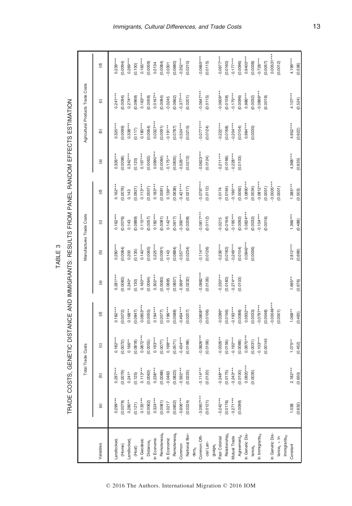| ì<br>I |
|--------|
|        |
| ٦      |
|        |

TRADE COSTS, GENETIC DISTANCE AND IMMIGRANTS: RESULTS FROM PANEL RANDOM EFFECTS ESTIMATION TRADE COSTS, GENETIC DISTANCE AND IMMIGRANTS: RESULTS FROM PANEL RANDOM EFFECTS ESTIMATION

| 0.00049***<br>$-0.0808***$<br>$0.0797***$<br>$0.0853***$<br>$0.0932***$<br>$0.182***$<br>$0.194***$<br>$0.196***$<br>$0.464***$<br>$0.193***$<br>$-0.0286*$<br>$0.168***$<br>(0.0055)<br>(0.0847)<br>(0.0077)<br>(0.0588)<br>(0.0106)<br>(0.0156)<br>(0.0088)<br>(0.0033)<br>(0.0048)<br>(0.0207)<br>(0.0072)<br>$\widehat{\sigma}$<br>$-0.0826***$<br>$0.0970***$<br>$0.0872***$<br>$-0.0326***$<br>$0.193***$<br>$0.198***$<br>$-0.103***$<br>$0.182***$<br>$-0.434***$<br>$-0.192***$<br>(0.00145)<br>(0.0031)<br>$0.166***$<br>(0.0818)<br>(0.0055)<br>(0.0088)<br>(0.0077)<br>(0.0571)<br>(0.0156)<br>(0.0106)<br>(0.0072)<br>(0.0198)<br>©<br>$(0.0100)$<br>$0.0920***$<br>$-0.114***$<br>$-0.248***$<br>$0.297***$<br>$0.113***$<br>$(0.0063)$<br>$0.238***$<br>$-0.592***$<br>$(0.0175)$<br>$-0.243***$<br>$(0.0088)$<br>$-0.0463$<br>(0.0120)<br>$(0.0079)$<br>0.241*<br>(0.0823)<br>(0.0225)<br>(0.0035)<br>(0.125)<br>ê<br>$-0.0957***$<br>$0.135***$<br>$0.324***$<br>$-0.606**$<br>$-0.242***$<br>$0.299***$<br>$0.271***$<br>(0.0062)<br>(0.0121)<br>(0.0176)<br>(0.0079)<br>$0.280**$<br>(0.0081)<br>(0.0802)<br>(0.0224)<br>(0.0099)<br>0.0217<br>(0.121)<br>@<br>Remoteness <sub>il</sub><br>Remoteness <sub>i</sub><br>National Bor-<br>In Genetic Dis-<br>In Genetic Dis-<br>In Immigrants <sub>iji</sub><br>Relation ship<br>Common Offi-<br>Agreement <sub>ijt</sub><br>Past Colonial<br>Mutual Trade<br>In Economic<br>In Economic<br>In Geodesic<br>Landlocked<br>Landlocked<br>Distance<br>cial Lan-<br>Variables<br>(Home)<br>Common<br>guage <sub>ij</sub><br>(Host)<br>tance<br>dersi |  | otal Trade Costs |              | Manufactures Trade Costs |               |                    |              |              | Agricultural Products Trade Costs |                    |
|------------------------------------------------------------------------------------------------------------------------------------------------------------------------------------------------------------------------------------------------------------------------------------------------------------------------------------------------------------------------------------------------------------------------------------------------------------------------------------------------------------------------------------------------------------------------------------------------------------------------------------------------------------------------------------------------------------------------------------------------------------------------------------------------------------------------------------------------------------------------------------------------------------------------------------------------------------------------------------------------------------------------------------------------------------------------------------------------------------------------------------------------------------------------------------------------------------------------------------------------------------------------------------------------------------------------------------------------------------------------------------------------------------------------------------------------------------------------------------------------------------------------------------------------------------------------------------------------------------------|--|------------------|--------------|--------------------------|---------------|--------------------|--------------|--------------|-----------------------------------|--------------------|
|                                                                                                                                                                                                                                                                                                                                                                                                                                                                                                                                                                                                                                                                                                                                                                                                                                                                                                                                                                                                                                                                                                                                                                                                                                                                                                                                                                                                                                                                                                                                                                                                                  |  |                  | <u>ම</u>     | ê                        | $\widehat{c}$ | $\widehat{\sigma}$ | <u>ම</u>     | ê            | $\widehat{\omega}$                | $\widehat{\sigma}$ |
|                                                                                                                                                                                                                                                                                                                                                                                                                                                                                                                                                                                                                                                                                                                                                                                                                                                                                                                                                                                                                                                                                                                                                                                                                                                                                                                                                                                                                                                                                                                                                                                                                  |  |                  | $0.281***$   | $0.280***$               | $0.162***$    | $2.162***$         | $0.326***$   | $0.320***$   | $0.241***$                        | $0.239***$         |
|                                                                                                                                                                                                                                                                                                                                                                                                                                                                                                                                                                                                                                                                                                                                                                                                                                                                                                                                                                                                                                                                                                                                                                                                                                                                                                                                                                                                                                                                                                                                                                                                                  |  |                  | (0.0083)     | (0.0084)                 | (0.0076)      | (0.0076)           | (0.0098)     | (0.0099)     | (0.0094)                          | (0.0094)           |
|                                                                                                                                                                                                                                                                                                                                                                                                                                                                                                                                                                                                                                                                                                                                                                                                                                                                                                                                                                                                                                                                                                                                                                                                                                                                                                                                                                                                                                                                                                                                                                                                                  |  |                  | $0.240*$     | 0.200                    | 0.143         | 0.143              | $0.342***$   | $0.338***$   | $0.274***$                        | $0.269***$         |
|                                                                                                                                                                                                                                                                                                                                                                                                                                                                                                                                                                                                                                                                                                                                                                                                                                                                                                                                                                                                                                                                                                                                                                                                                                                                                                                                                                                                                                                                                                                                                                                                                  |  |                  | (0.130)      | (0.135)                  | (0.0889)      | (0.0921)           | (0.120)      | (0.117)      | (0.0969)                          | (0.100)            |
|                                                                                                                                                                                                                                                                                                                                                                                                                                                                                                                                                                                                                                                                                                                                                                                                                                                                                                                                                                                                                                                                                                                                                                                                                                                                                                                                                                                                                                                                                                                                                                                                                  |  |                  | $0.160***$   | $0.140***$               | $0.115***$    | $0.113***$         | $0.197***$   | $0.180***$   | $0.163***$                        | $0.165***$         |
|                                                                                                                                                                                                                                                                                                                                                                                                                                                                                                                                                                                                                                                                                                                                                                                                                                                                                                                                                                                                                                                                                                                                                                                                                                                                                                                                                                                                                                                                                                                                                                                                                  |  |                  | (0.0064)     | (0.0065)                 | (0.0057)      | (0.0057)           | (0.0063)     | (0.0064)     | (0.0059)                          | (0.0059)           |
|                                                                                                                                                                                                                                                                                                                                                                                                                                                                                                                                                                                                                                                                                                                                                                                                                                                                                                                                                                                                                                                                                                                                                                                                                                                                                                                                                                                                                                                                                                                                                                                                                  |  |                  | $0.302***$   | $0.225***$               | $0.182***$    | $0.183***$         | $0.0990***$  | $0.0327***$  | 0.0167**                          | 0.0134             |
|                                                                                                                                                                                                                                                                                                                                                                                                                                                                                                                                                                                                                                                                                                                                                                                                                                                                                                                                                                                                                                                                                                                                                                                                                                                                                                                                                                                                                                                                                                                                                                                                                  |  |                  | (0.0083)     | (0.0091)                 | (0.0081)      | (0.0081)           | (0.0084)     | (0.0091)     | (0.0084)                          | (0.0084)           |
|                                                                                                                                                                                                                                                                                                                                                                                                                                                                                                                                                                                                                                                                                                                                                                                                                                                                                                                                                                                                                                                                                                                                                                                                                                                                                                                                                                                                                                                                                                                                                                                                                  |  |                  | $-0.0695$    | $-0.143$                 | $0.142**$     | $0.136**$          | $-0.175**$   | $-0.191**$   | $-0.0245$                         | $-0.0301$          |
|                                                                                                                                                                                                                                                                                                                                                                                                                                                                                                                                                                                                                                                                                                                                                                                                                                                                                                                                                                                                                                                                                                                                                                                                                                                                                                                                                                                                                                                                                                                                                                                                                  |  |                  | (0.0857)     | (0.0884)                 | (0.0617)      | (0.0636)           | (0.0805)     | (0.0787)     | (0.0662)                          | (0.0680)           |
|                                                                                                                                                                                                                                                                                                                                                                                                                                                                                                                                                                                                                                                                                                                                                                                                                                                                                                                                                                                                                                                                                                                                                                                                                                                                                                                                                                                                                                                                                                                                                                                                                  |  |                  | $-0.569***$  | $-0.557***$              | $-0.390***$   | $0.421***$         | $-0.526***$  | $-0.524***$  | $-0.377***$                       | $-0.352***$        |
|                                                                                                                                                                                                                                                                                                                                                                                                                                                                                                                                                                                                                                                                                                                                                                                                                                                                                                                                                                                                                                                                                                                                                                                                                                                                                                                                                                                                                                                                                                                                                                                                                  |  |                  | (0.0232)     | (0.0234)                 | (0.0208)      | (0.0217)           | (0.0213)     | (0.0215)     | (0.0201)                          | (0.0210)           |
|                                                                                                                                                                                                                                                                                                                                                                                                                                                                                                                                                                                                                                                                                                                                                                                                                                                                                                                                                                                                                                                                                                                                                                                                                                                                                                                                                                                                                                                                                                                                                                                                                  |  |                  |              |                          |               |                    |              |              |                                   |                    |
|                                                                                                                                                                                                                                                                                                                                                                                                                                                                                                                                                                                                                                                                                                                                                                                                                                                                                                                                                                                                                                                                                                                                                                                                                                                                                                                                                                                                                                                                                                                                                                                                                  |  |                  | $-0.0982***$ | $-0.114***$              | $-0.0817***$  | $-0.0797***$       | $-0.0623***$ | $-0.0771***$ | $-0.0647***$                      | -0.0665 ***        |
|                                                                                                                                                                                                                                                                                                                                                                                                                                                                                                                                                                                                                                                                                                                                                                                                                                                                                                                                                                                                                                                                                                                                                                                                                                                                                                                                                                                                                                                                                                                                                                                                                  |  |                  | (0.0126)     | (0.0126)                 | (0.0112)      | (0.0112)           | (0.0124)     | (0.0124)     | (0.0115)                          | (0.0115)           |
|                                                                                                                                                                                                                                                                                                                                                                                                                                                                                                                                                                                                                                                                                                                                                                                                                                                                                                                                                                                                                                                                                                                                                                                                                                                                                                                                                                                                                                                                                                                                                                                                                  |  |                  |              |                          |               |                    |              |              |                                   |                    |
|                                                                                                                                                                                                                                                                                                                                                                                                                                                                                                                                                                                                                                                                                                                                                                                                                                                                                                                                                                                                                                                                                                                                                                                                                                                                                                                                                                                                                                                                                                                                                                                                                  |  |                  | $-0.230***$  | $-0.236***$              | $-0.0215$     | $-0.0174$          | $-0.211***$  | $-0.222**$   | $-0.0609***$                      | $-0.0677***$       |
|                                                                                                                                                                                                                                                                                                                                                                                                                                                                                                                                                                                                                                                                                                                                                                                                                                                                                                                                                                                                                                                                                                                                                                                                                                                                                                                                                                                                                                                                                                                                                                                                                  |  |                  | (0.0183)     | (0.0182)                 | (0.0164)      | (0.0164)           | (0.0168)     | (0.0168)     | (0.0159)                          | (0.0160)           |
|                                                                                                                                                                                                                                                                                                                                                                                                                                                                                                                                                                                                                                                                                                                                                                                                                                                                                                                                                                                                                                                                                                                                                                                                                                                                                                                                                                                                                                                                                                                                                                                                                  |  |                  | $-0.274***$  | $-0.249***$              | $-0.195***$   | $-0.196***$        | $-0.228***$  | $-0.204***$  | $-0.175***$                       | $-0.177***$        |
|                                                                                                                                                                                                                                                                                                                                                                                                                                                                                                                                                                                                                                                                                                                                                                                                                                                                                                                                                                                                                                                                                                                                                                                                                                                                                                                                                                                                                                                                                                                                                                                                                  |  |                  | (0.0103)     | (0.0104)                 | (0.0092)      | (0.0092)           | (0.0103)     | (0.0104)     | (0.0096)                          | (0.0096)           |
|                                                                                                                                                                                                                                                                                                                                                                                                                                                                                                                                                                                                                                                                                                                                                                                                                                                                                                                                                                                                                                                                                                                                                                                                                                                                                                                                                                                                                                                                                                                                                                                                                  |  |                  |              | $0.0846***$              | $0.0824***$   | $0.0890***$        |              | $0.984***$   | $0.986***$                        | $0.9400***$        |
|                                                                                                                                                                                                                                                                                                                                                                                                                                                                                                                                                                                                                                                                                                                                                                                                                                                                                                                                                                                                                                                                                                                                                                                                                                                                                                                                                                                                                                                                                                                                                                                                                  |  |                  |              | (0.0036)                 | (0.0032)      | (0.0034)           |              | (0.0035)     | (0.0032)                          | (0.0038)           |
|                                                                                                                                                                                                                                                                                                                                                                                                                                                                                                                                                                                                                                                                                                                                                                                                                                                                                                                                                                                                                                                                                                                                                                                                                                                                                                                                                                                                                                                                                                                                                                                                                  |  |                  |              |                          | $0.104***$    | $-0.0812***$       |              |              | $-0.0869***$                      | $-0.728***$        |
|                                                                                                                                                                                                                                                                                                                                                                                                                                                                                                                                                                                                                                                                                                                                                                                                                                                                                                                                                                                                                                                                                                                                                                                                                                                                                                                                                                                                                                                                                                                                                                                                                  |  |                  |              |                          | (0.0016)      | (0.0051)           |              |              | (0.0019)                          | (0.0057)           |
|                                                                                                                                                                                                                                                                                                                                                                                                                                                                                                                                                                                                                                                                                                                                                                                                                                                                                                                                                                                                                                                                                                                                                                                                                                                                                                                                                                                                                                                                                                                                                                                                                  |  |                  |              |                          |               | $-0.0005***$       |              |              |                                   | $0.00531***$       |
| (0.0001)<br>$tance_{ij} \times ln$                                                                                                                                                                                                                                                                                                                                                                                                                                                                                                                                                                                                                                                                                                                                                                                                                                                                                                                                                                                                                                                                                                                                                                                                                                                                                                                                                                                                                                                                                                                                                                               |  |                  |              |                          |               | (0.0001)           |              |              |                                   | (0.0012)           |
| Immigrants <sub>ijt</sub>                                                                                                                                                                                                                                                                                                                                                                                                                                                                                                                                                                                                                                                                                                                                                                                                                                                                                                                                                                                                                                                                                                                                                                                                                                                                                                                                                                                                                                                                                                                                                                                        |  |                  |              |                          |               |                    |              |              |                                   |                    |
| 1.068**<br>$1.075**$<br>$2.182***$<br>1.038<br>Constant                                                                                                                                                                                                                                                                                                                                                                                                                                                                                                                                                                                                                                                                                                                                                                                                                                                                                                                                                                                                                                                                                                                                                                                                                                                                                                                                                                                                                                                                                                                                                          |  |                  | 1.695**      | $2.812***$               | $1.366***$    | 1.385***           | 4.368***     | 4.952***     | 4.107***                          | 4.199***           |
| (0.465)<br>(0.452)<br>(0.650)<br>(0.632)                                                                                                                                                                                                                                                                                                                                                                                                                                                                                                                                                                                                                                                                                                                                                                                                                                                                                                                                                                                                                                                                                                                                                                                                                                                                                                                                                                                                                                                                                                                                                                         |  |                  | (0.676)      | (0.698)                  | (0.488)       | (0.503)            | (0.635)      | (0.622)      | (0.524)                           | (0.538)            |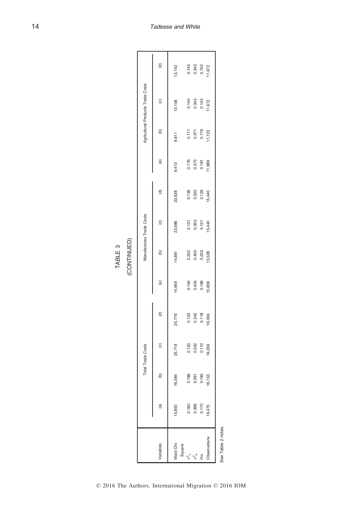|                     |               |        |                  |                    |               | TABLE <sub>3</sub> |                          |                    |          |        |                                   |                    |
|---------------------|---------------|--------|------------------|--------------------|---------------|--------------------|--------------------------|--------------------|----------|--------|-----------------------------------|--------------------|
|                     |               |        |                  |                    |               | (CONTINUED)        |                          |                    |          |        |                                   |                    |
|                     |               |        | otal Trade Costs |                    |               |                    | Manufactures Trade Costs |                    |          |        | Agricultural Products Trade Costs |                    |
| Variables           | $\widehat{a}$ | ê      | $\circ$          | $\widehat{\sigma}$ | $\widehat{a}$ | $\widehat{e}$      | $\circ$                  | $\widehat{\sigma}$ | <u>ම</u> | ê      | $\circ$                           | $\widehat{\sigma}$ |
| Wald Chi-<br>Square | 15,850        | 16,084 | 25,719           | 25,776             | 14,959        | 14,981             | 23,586                   | 23,638             | 9,413    | 9,611  | 13,106                            | 13,142             |
|                     | 0.180         | 0.186  | 0.120            | 0.125              | 0.194         |                    | 0.131                    | 0.136              | 0.176    | 0.171  | 0.140                             | 0.145              |
| $\sigma_{\rm e}^2$  | 0.396         | 0.391  | 0.342            | 0.342              | 0.405         | 0.202<br>0.400     | 0.353                    | 0.353              | 0.375    | 0.371  | 0.343                             | 0.343              |
| <b>C</b>            | 0.170         | 0.185  | 0.110            | 0.118              | 0.186         | 0.203              | 0.121                    | 0.129              | 0.181    | 0.176  | 0.143                             | 0.152              |
| Observations        | 16,475        | 16,153 | 16,056           | 16,056             | 15,838        | 15,528             | 15,440                   | 15,440             | 11,989   | 11,723 | 11,672                            | 11,672             |
| See Table 2 notes.  |               |        |                  |                    |               |                    |                          |                    |          |        |                                   |                    |

| н<br>L, |  |
|---------|--|
|         |  |
|         |  |
|         |  |
|         |  |
|         |  |

© 2016 The Authors. International Migration © 2016 IOM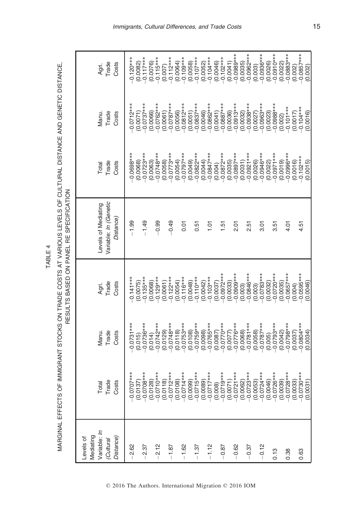| Ó |
|---|
|   |

TABLE 4

TABLE 4

 $(0.0041)$ <br> $-0.0989***$  $-0.0962***$ -0.0936 \*\*\* -0.0910 \*\*\*  $-0.0883***$ 0.0989\*\*\* 0.0962\*\*\* 0.0936\*\*\* 0.0910\*\*\* 0.0883\*\*\*  $0.0857***$  $-0.112***$  $-0.109***$  $-0.107***$  $-0.104***$  $-0.102***$  $0.120***$ 0.120\*\*\* 0.117\*\*\* 0.115\*\*\*  $0.112***$ 0.109\*\*\* 0.107\*\*\* 0.104\*\*\* 0.102\*\*\* Trade  $(0.0076)$  $(0.0064)$  $(0.0058)$  $(0.0052)$  $(0.0046)$  $(0.0035)$ Costs  $(0.0082)$  $(0.0026)$  $(0.0022)$ Agri. (0.0137) (0.015) (0.0075) (0.0068) (0.0071) (0.0082) (32,0010) (89,0010) (0.00076) (0.00076) (0.00076) (0.00076) (0.0076) (0.0076) (0.0076) (0.0076) (0.0 (100010) (0.00010) (100010) (0.00056) (0.00056) (0.00056) (0.00056) (0.0004) (0.0004) (0.0004) (0.00 (33000'0) (1900'0) (6700'0) (0.009'0) (0.009'0) (0.000'0) (0.000'0) (0.000'0) (0.000'0) (0.000'0) (0.000'0) (0 (320010) (0.00010) (120010) (0.00098) (0.00052) (0.00052) (0.00052) (0.00052) (0.000520) (3#0010) (1#0010) (#0010) (0.0097) (0.0007) (0.0007) (0.00070) (0.00470070) (0.00470070) (0.00470101 (1200'0) (0.000'0) (0.000'0) (0.000'0) (0.00035) (0.0000'0) (0.0000'0) (0.0041) (0.0041) (360010) (2.00010) (1.00010) (0.00020) (0.00370) (0.00370) (0.00370) (0.00370) (0.00370)  $(0.003)$ (0.0046) (0.005) (0.0032) (0.0022) (0.0023) (0.0026) (220010) (0.0010) (0.0010) (0.0010) (0.0010) (0.0010) (0.00210) (0.00210) (0.00220202020202020202020  $(0.007)$  $(0.002)$  $(0.002)$ (2010) (1900;0) (0.000;0) (0.000;0) (0.007) (0.007) (0.007) (0.007) (0.007) (0.007) (0.007) (0.007) (0.007) (0 (62010) (0.00070) (0.00070) (0.00070) (0.00070) (0.00070) (0.007070) (0.0070707070707070707070707070 (20010) (2.0010) (0.0010) (0.0010) (0.0010) (0.0010) (0.0010) (0.0010) (0.00010) (30010) (0.0010) (0.0010) (0.0010) (0.0016) (0.0016) (0.0016) (0.0016) (0.0016) (0.0016)  $(0.0046)$ <br> $-0.0862***$  $-0.0887***$ -0.0913\*\*\*  $0.0712***$  $0.0712***$  $0.0737***$  $0.0737***$  $0.0762***$  $0.0787***$  $0.0787***$  $0.0812***$  $0.0837***$  $0.0862***$  $0.0887***$ 0.0913\*\*\* 0.0938\*\*\*  $-0.0963***$ 0.0963\*\*\* 0.0988\*\*\* 0.101\*\*\* 0.104\*\*\* Trade  $(0.0051)$  $(0.0041)$  $(0.0061)$  $(0.0056)$  $(0.0036)$  $(0.0032)$ Manu. Costs  $(150071)$  $(0.0066)$  $(0.0027)$  $(0.0023)$  $(0.0017)$  $(0.0016)$  $(0.002)$ -- $0.0723***$  $-0.0797***$  $-0.0822***$  $-0.0847***$  $-0.0872***$  $-0.0921***$ -0.0946\*\*\* 0.0698\*\*\* 0.0698\*\*\*  $0.0723***$  $-0.0748***$  $0.0748***$  $-0.0773***$  $0.0773***$ 0.0797\*\*\*  $0.0822***$  $0.0847***$  $0.0872***$  $-0.0897***$ 0.0897\*\*\* 0.0921\*\*\* 0.0946\*\*\*  $-0.0971***$ 0.0971\*\*\*  $-0.0996***$ 0.0996\*\*\*  $-0.102***$ 0.102\*\*\*  $(0.0031)$ Trade Costs  $(0.0068)$  $(0.0063)$  $(0.0058)$  $(0.0054)$  $(0.0049)$  $(0.0044)$  $(0.0035)$  $(0.0026)$  $(0.0022)$  $(0.0019)$  $(0.0016)$  $(0.0015)$ Total  $(0.004)$ Variable: In (Genetic Levels of Mediating Variable: ln (Genetic Levels of Mediating Distance)  $0.01$  $0.51$  $1.01$  $1.51$  $2.01$ 2.51  $3.01$  $3.51$ 4.01 4.51 -1.99 -1.49 -0.99 -0.49 0.116\*\*\* 10.116 0.110\*\*\* 0.51 0.103\*\*\* 1.01 0.0972\*\*\* 1.51 0.0909\*\*\* 2.01 0.0846\*\*\* 2.51 0.0783\*\*\* 3.01 0.0720\*\*\* 3.51 0.0657\*\*\* 4.01 0.0595\*\*\* 4.51  $-0.0972***$ -0.0909\*\* 0.0720\*\*\*  $0.0657***$ 0.0595\*\*\* 0.129\*\*\*  $-0.110***$  $0.135***$  $-0.116***$  $-0.103***$  $0.141***$ 0.141\*\*\*  $0.135***$ 0.129\*\*\* 0.122\*\*\* Trade Costs  $(0.0068)$  $(0.0061)$  $(0.0054)$  $(0.0048)$  $(0.0042)$  $(0.0037)$  $(0.0033)$  $(0.0032)$  $(0.0035)$  $0.0075$  $0.0046$  $(0.003)$  $(0.003)$  $(0.004)$ Agri.  $0.0748***$ 0.0753\*\*\*  $0.0770***$ 0.0776\*\*\*  $0.0781***$ 0.0793\*\*\*  $0.0798***$ 0.0804\*\*\*\* 0.0736\*\*\*  $0.0742***$  $0.0759***$  $-0.0765***$  $0.0731***$ 0.0731\*\*\*  $0.0736***$  $0.0742***$  $0.0748***$ 0.0753\*\*\*  $0.0759***$  $0.0765***$  $0.0770***$  $0.0776***$ 0.0781\*\*\*  $0.0787***$  $0.0787***$ 0.0793\*\*\* 0.0798\*\*\*  $0.0804***$  $(0.0118)$  $(0.0108)$  $(0.0098)$  $(0.0068)$  $0.0058$ Manu. Trade Costs  $(0.0129)$  $(0.0087)$  $(0.0077)$  $(0.0042)$  $(0.0037)$  $(0.0034)$  $0.015$  $(0.014)$  $(0.005)$ ---- $-0.0712***$  $-0.0719***$  $-0.0721***$ -0.0723\*\*\*  $0.0707***$ 0.0707\*\*\* 0.0708\*\*\* 0.0708\*\*\*  $0.0710***$ 0.0710\*\*\* 0.0712\*\*\*  $-0.0714***$ 0.0714\*\*\*  $-0.0715***$ 0.0715\*\*\*  $-0.0717$ \*\*\* 0.0717\*\*\* 0.0719\*\*\* 0.0721\*\*\* 0.0723\*\*\* 0.0724\*\*\*  $0.0724***$ 0.0726\*\*\* 0.0726\*\*\* 0.0728\*\*\* 0.0728\*\*\* 0.0730\*\*\* 0.0730\*\*\*  $(0.0099)$ Trade Costs  $0.0137)$  $(0.0128)$  $(0.0118)$  $(0.0108)$  $(0.0089)$  $(0.0071)$  $(0.0062)$  $(0.0053)$  $(0.0046)$  $(0.0039)$  $(0.0033)$ Total  $(0.008)$  $(0.0031)$ -Variable: ln Jariable: In Mediating Distance) evels of Levels of (Cultural -2.37 -1.87 -1.37 -0.87 -0.37 -2.62 -2.12 -1.62 -1.12 -0.62 -0.12 0.13 0.38 0.63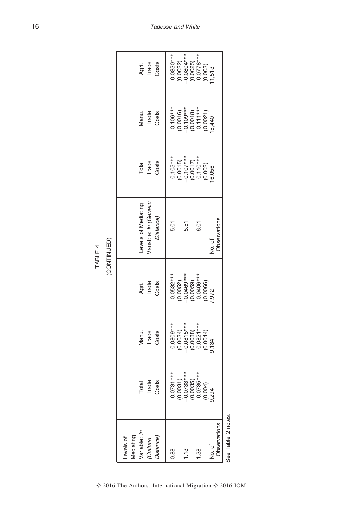|                                                                   |                                                                                        |                         |                                                                              | TABLE 4                                                  |                                                                                                        |                                                                                                                                                                                                                                                                                                                                |                         |
|-------------------------------------------------------------------|----------------------------------------------------------------------------------------|-------------------------|------------------------------------------------------------------------------|----------------------------------------------------------|--------------------------------------------------------------------------------------------------------|--------------------------------------------------------------------------------------------------------------------------------------------------------------------------------------------------------------------------------------------------------------------------------------------------------------------------------|-------------------------|
|                                                                   |                                                                                        |                         |                                                                              | (CONTINUED)                                              |                                                                                                        |                                                                                                                                                                                                                                                                                                                                |                         |
| Variable: In<br>Vlediating<br>Levels of<br>Distance)<br>(Cultural | Trade<br>Costs<br>Total                                                                | Manu.<br>Trade<br>Costs | Agri.<br>Trade<br>Costs                                                      | Variable: In (Genetic<br>evels of Mediating<br>Distance) | Total<br>Trade<br>Costs                                                                                | Manu.<br>Trade<br>Costs                                                                                                                                                                                                                                                                                                        | Agri.<br>Trade<br>Costs |
| 1.13<br>1.38<br>0.88                                              | $-0.0731***$<br>$(0.0031)$<br>$-0.0733***$<br>$(0.0035)$<br>$(0.0035)$<br>$-0.0735***$ |                         | $-0.0532***\n(0.0052)\n(0.0059***\n-0.0469***\n(0.0059)\n(0.0066)\n(0.0066)$ | 5.01<br>5.51<br>6.01                                     | $-0.105$<br>***<br>$(0.0015)$<br>$-0.107$ ***<br>$-0.10$ ***<br>$-0.110$ ***<br>$(0.002)$<br>$(0.002)$ | $\begin{array}{l} -0.106\overset{***}{\footnotesize\substack{***\\ (0.0016)\phantom{0}{{\footnotesize\substack{***\\ (0.0018)\phantom{0}{{\footnotesize\substack{***}}}}}} \hfill{0.0016}\\ -0.109\overset{***}{\footnotesize\substack{***\\ (0.0018)\phantom{0}{{\footnotesize\substack{***}}}} \hfill{0.0021})} \end{array}$ |                         |
| Observations<br>No. of                                            | 9,294                                                                                  | 134                     |                                                                              | No. of<br>Observations                                   |                                                                                                        |                                                                                                                                                                                                                                                                                                                                |                         |
| See Table 2 notes                                                 |                                                                                        |                         |                                                                              |                                                          |                                                                                                        |                                                                                                                                                                                                                                                                                                                                |                         |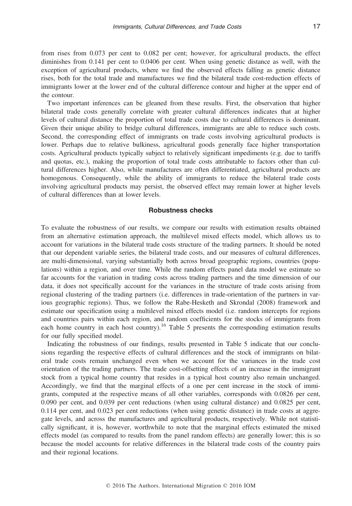from rises from 0.073 per cent to 0.082 per cent; however, for agricultural products, the effect diminishes from 0.141 per cent to 0.0406 per cent. When using genetic distance as well, with the exception of agricultural products, where we find the observed effects falling as genetic distance rises, both for the total trade and manufactures we find the bilateral trade cost-reduction effects of immigrants lower at the lower end of the cultural difference contour and higher at the upper end of the contour.

Two important inferences can be gleaned from these results. First, the observation that higher bilateral trade costs generally correlate with greater cultural differences indicates that at higher levels of cultural distance the proportion of total trade costs due to cultural differences is dominant. Given their unique ability to bridge cultural differences, immigrants are able to reduce such costs. Second, the corresponding effect of immigrants on trade costs involving agricultural products is lower. Perhaps due to relative bulkiness, agricultural goods generally face higher transportation costs. Agricultural products typically subject to relatively significant impediments (e.g. due to tariffs and quotas, etc.), making the proportion of total trade costs attributable to factors other than cultural differences higher. Also, while manufactures are often differentiated, agricultural products are homogenous. Consequently, while the ability of immigrants to reduce the bilateral trade costs involving agricultural products may persist, the observed effect may remain lower at higher levels of cultural differences than at lower levels.

# Robustness checks

To evaluate the robustness of our results, we compare our results with estimation results obtained from an alternative estimation approach, the multilevel mixed effects model, which allows us to account for variations in the bilateral trade costs structure of the trading partners. It should be noted that our dependent variable series, the bilateral trade costs, and our measures of cultural differences, are multi-dimensional, varying substantially both across broad geographic regions, countries (populations) within a region, and over time. While the random effects panel data model we estimate so far accounts for the variation in trading costs across trading partners and the time dimension of our data, it does not specifically account for the variances in the structure of trade costs arising from regional clustering of the trading partners (i.e. differences in trade-orientation of the partners in various geographic regions). Thus, we follow the Rabe-Hesketh and Skrondal (2008) framework and estimate our specification using a multilevel mixed effects model (i.e. random intercepts for regions and countries pairs within each region, and random coefficients for the stocks of immigrants from each home country in each host country).<sup>16</sup> Table 5 presents the corresponding estimation results for our fully specified model.

Indicating the robustness of our findings, results presented in Table 5 indicate that our conclusions regarding the respective effects of cultural differences and the stock of immigrants on bilateral trade costs remain unchanged even when we account for the variances in the trade cost orientation of the trading partners. The trade cost-offsetting effects of an increase in the immigrant stock from a typical home country that resides in a typical host country also remain unchanged. Accordingly, we find that the marginal effects of a one per cent increase in the stock of immigrants, computed at the respective means of all other variables, corresponds with 0.0826 per cent, 0.090 per cent, and 0.039 per cent reductions (when using cultural distance) and 0.0825 per cent, 0.114 per cent, and 0.023 per cent reductions (when using genetic distance) in trade costs at aggregate levels, and across the manufactures and agricultural products, respectively. While not statistically significant, it is, however, worthwhile to note that the marginal effects estimated the mixed effects model (as compared to results from the panel random effects) are generally lower; this is so because the model accounts for relative differences in the bilateral trade costs of the country pairs and their regional locations.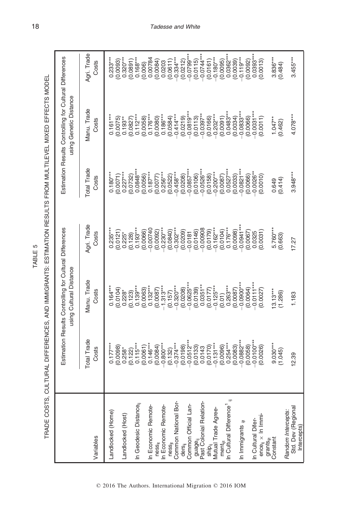| г<br>ï |  |
|--------|--|
|        |  |
|        |  |
| ۳      |  |
|        |  |

TRADE COSTS, CULTURAL DIFFERENCES, AND IMMIGRANTS: ESTIMATION RESULTS FROM MULTILEVEL MIXED EFFECTS MODEL TRADE COSTS, CULTURAL DIFFERENCES, AND IMMIGRANTS: ESTIMATION RESULTS FROM MULTILEVEL MIXED EFFECTS MODEL

|                                                                                                                                                                                                                                                                                                                                                                                                                                                                                                                                                                     |                                                                                                                                                                                                                                                                                                                                               | Estimation Results Controlling for Cultural Differences<br>using Cultural Distance                                                                                                                                                                                                                                                              |                                                                                                                                                                                                                                                                                                                                       |                                                                                                                                                                                                                                                                                                                                                     | Estimation Results Controlling for Cultural Differences<br>using Genetic Distance                                                                                                                                                                                                                                                                      |                                                                                                                                                                                                                                                                                                                                              |
|---------------------------------------------------------------------------------------------------------------------------------------------------------------------------------------------------------------------------------------------------------------------------------------------------------------------------------------------------------------------------------------------------------------------------------------------------------------------------------------------------------------------------------------------------------------------|-----------------------------------------------------------------------------------------------------------------------------------------------------------------------------------------------------------------------------------------------------------------------------------------------------------------------------------------------|-------------------------------------------------------------------------------------------------------------------------------------------------------------------------------------------------------------------------------------------------------------------------------------------------------------------------------------------------|---------------------------------------------------------------------------------------------------------------------------------------------------------------------------------------------------------------------------------------------------------------------------------------------------------------------------------------|-----------------------------------------------------------------------------------------------------------------------------------------------------------------------------------------------------------------------------------------------------------------------------------------------------------------------------------------------------|--------------------------------------------------------------------------------------------------------------------------------------------------------------------------------------------------------------------------------------------------------------------------------------------------------------------------------------------------------|----------------------------------------------------------------------------------------------------------------------------------------------------------------------------------------------------------------------------------------------------------------------------------------------------------------------------------------------|
| Variables                                                                                                                                                                                                                                                                                                                                                                                                                                                                                                                                                           | <b>Total Trade</b><br>Costs                                                                                                                                                                                                                                                                                                                   | Manu. Trade<br>Costs                                                                                                                                                                                                                                                                                                                            | Agri. Trade<br>Costs                                                                                                                                                                                                                                                                                                                  | <b>Total Trade</b><br>Costs                                                                                                                                                                                                                                                                                                                         | Manu. Trade<br>Costs                                                                                                                                                                                                                                                                                                                                   | Agri. Trade<br>Costs                                                                                                                                                                                                                                                                                                                         |
| ment <sub>ijt</sub><br>In Cultural Difference <sup>1</sup> ij<br>guage <sub>ij</sub><br>Past Colonial Relation-<br>ness <sub>it</sub><br>Common National Bor-<br>In Geodesic Distance <sub>ij</sub><br>ders <sub>ij</sub><br>Common Official Lan-<br>In Economic Remote-<br>ness <sub>it</sub><br>In Economic Remote-<br>ship <sub>ij</sub><br>Mutual Trade Agree-<br>Random Intercepts:<br>Landlocked (Home)<br>Landlocked (Host)<br>$\mathsf{ence}_{ij} \times \mathsf{In}$ Immi-<br>In Cultural Difer-<br>In Immigrants ijt<br>grants <sub>ijt</sub><br>Constant | $-0.0512***$<br>$-0.0882***$<br>$0.0100***$<br>$0.115***$<br>$-0.374***$<br>$-0.131***$<br>$0.254***$<br>$9.030***$<br>$0.146***$<br>$-0.800***$<br>$0.177***$<br>(0.0133)<br>(0.0170)<br>(0.0096)<br>(0.0083)<br>(0.0061)<br>(0.0084)<br>(0.0198)<br>(0.0058)<br>(0.0098)<br>(0.0026)<br>0.0143<br>$0.258*$<br>(0.132)<br>(0.122)<br>(1.045) | $-0.0625***$<br>$-0.0900**$<br>$-0.0111***$<br>$0.0351***$<br>$-0.125***$<br>$0.132***$<br>$-0.320***$<br>$0.263***$<br>$0.139***$<br>$-1.313***$<br>$0.164***$<br>(0.0063)<br>(0.0087)<br>(0.0139)<br>(0.0064)<br>(0.0208)<br>(0.0177)<br>(0.0104)<br>(0.0087)<br>(0.0027)<br>$3.13***$<br>$0.228*$<br>(0.157)<br>(0.123)<br>(1.286)<br>(0.01) | $-0.0941***$<br>$-0.162***$<br>$0.176***$<br>$0.193***$<br>5.760***<br>$0.235***$<br>$-0.230***$<br>$-0.302***$<br>0.00908<br>$-0.00740$<br>(0.0104)<br>(0.0098)<br>(0.0209)<br>(0.0146)<br>(0.0179)<br>(0.0066)<br>(0.0840)<br>(0.0092)<br>(0.0121)<br>(0.0067)<br>(0.0031)<br>$-0.0181$<br>0.0325<br>$0.225*$<br>(0.128)<br>(0.663) | $0.0848***$<br>$-0.0526***$<br>$-0.0857***$<br>$0.0527***$<br>$-0.0821***$<br>$-0.0026**$<br>$0.227***$<br>$-0.200***$<br>$0.187***$<br>$0.256***$<br>$-0.458***$<br>$0.180***$<br>(0.0071)<br>(0.0732)<br>(0.0106)<br>(0.0158)<br>(0.0056)<br>(0.0522)<br>(0.0208)<br>(0.0033)<br>(0.0066)<br>(0.0077)<br>(0.0087)<br>(0.0010)<br>(0.414)<br>0.649 | $-0.0819***$<br>$0.0483***$<br>$-0.0833***$<br>$-0.0031***$<br>$-0.0397**$<br>$-0.202***$<br>$0.186***$<br>$-0.414***$<br>$0.161***$<br>$0.112***$<br>$0.176***$<br>(0.080)<br>(0.0219)<br>(0.0113)<br>(0.0058)<br>(0.0584)<br>(0.0166)<br>(0.0091)<br>(0.0034)<br>(0.0075)<br>$0.193***$<br>(0.0066)<br>(0.0011)<br>$1.047***$<br>(0.0827)<br>(0.462) | $-0.0744***$<br>$-0.0799***$<br>$0.0362***$<br>$0.0393***$<br>3.836***<br>$-0.180***$<br>$-0.119***$<br>$0.233***$<br>$0.320***$<br>$0.168***$<br>$-0.334***$<br>0.00784<br>(0.0212)<br>(0.0115)<br>(0.0039)<br>(0.0093)<br>(0.0891)<br>(0.0611)<br>(0.0161)<br>(0.0095)<br>(0.0092)<br>(0.0084)<br>(0.0013)<br>0.0203<br>(0.006)<br>(0.484) |
| Std. Dev (Regional<br>Intercepts)                                                                                                                                                                                                                                                                                                                                                                                                                                                                                                                                   | 12.39                                                                                                                                                                                                                                                                                                                                         | 1,183                                                                                                                                                                                                                                                                                                                                           | 17.27                                                                                                                                                                                                                                                                                                                                 | $3.948***$                                                                                                                                                                                                                                                                                                                                          | $4.078***$                                                                                                                                                                                                                                                                                                                                             | $3.455***$                                                                                                                                                                                                                                                                                                                                   |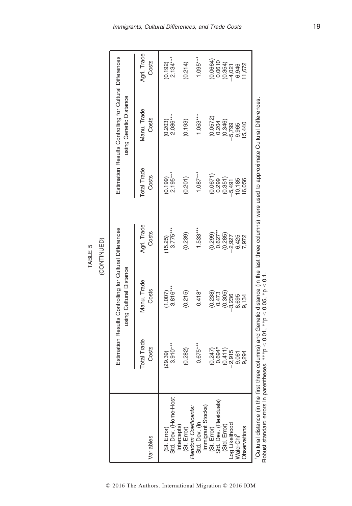TABLE 5 TABLE 5

|  | í |
|--|---|
|  |   |
|  | í |
|  | ∕ |

| ٠      |
|--------|
|        |
|        |
| í      |
| ۰<br>ı |

| ٠      |
|--------|
|        |
| ï      |
|        |
|        |
|        |
| ∕<br>ŗ |
| í      |
|        |

| ٠ |
|---|
|   |
|   |
|   |
| é |
| ١ |

| ٠ |
|---|
|   |
| í |
|   |
| ╱ |
|   |

| ٠<br>ŕ |
|--------|
|        |
|        |

Estimation Results Controlling for Cultural Differences using Cultural Distance

using Cultural Distance

Estimation Results Controlling for Cultural Differences

Estimation Results Controlling for Cultural Differences using Genetic Distance

using Genetic Distance

Estimation Results Controlling for Cultural Differences

| (St. Error)<br>3td. Dev. (Resid |                                                               |                                                                         |                                                                 |
|---------------------------------|---------------------------------------------------------------|-------------------------------------------------------------------------|-----------------------------------------------------------------|
| Std. Error                      |                                                               |                                                                         |                                                                 |
| og Likelihoo                    |                                                               |                                                                         |                                                                 |
|                                 | 380<br>0.47308 95<br>0.47308 95<br>0.0 0.0 950<br>0.0 0.0 950 | $(0.0671)$<br>$(0.299$<br>$(0.351)$<br>$-6,491$<br>$16.056$<br>$16.056$ | 0.0664)<br>0.0610<br>0.0541<br>0.072<br>0.072<br>0.072<br>1.072 |
| oservations                     |                                                               |                                                                         |                                                                 |

Std. Dev. (Residuals) Immigrant Stocks) Random Coefficents: Std. Dev. (In

Cultural distance (in the first three columns) and Genetic distance (in the last three columns) were used to approximate Cultural Differences. 1Cultural distance (in the first three columns) and Genetic distance (in the last three columns) were used to approximate Cultural Differences. Robust standard errors in parentheses. \*\*\*p < 0.01, \*\*p < 0.05, \*p < 0.1. Robust standard errors in parentheses. \*\*\*p < 0.01, \*\*p < 0.05, \*p < 0.1.

 $1.095***$ 

 $1.053***$  $(0.0572)$ 

 $(0.214)$ 

 $(0.193)$ 

 $(0.201)$ 

 $(0.0664)$ <br> $0.0610$ 

 $\frac{(0.192)}{2.134***}$ 

 $(0.203)$ <br> $2.086***$ 

Std. Dev. (Home-Host Intercepts)

Std. Dev. (Home-Host

(St. Error)

Random Coefficents: Std. Dev. (ln Immigrant Stocks)

(St. Error)

 $0.675***$  $(0.282)$ 

Variables

Variables

Total Trade Costs

**Total Trade** 

Manu. Trade Costs

Manu. Trade

Agri. Trade Costs

Agri. Trade

(2010) (2010) (2010) (2010) (2010) (2010) (12007) (2010) (2010) (0.203) (2010) (0.1920) (0.1920) (0.

 $(1.007)$ <br>3.816\*\*\*

 $(29.39)$ <br> $3.910***$ 

 $(15.25)$ <br>3.775\*\*\*

(St. Error) (1982/0) (1982/0) (0.2219) (0.2219) (0.22219) (0.2021) (0.2214) (0.2021) (0.20211 (0.214)

 $(0.215)$  $0.418*$ 

0.675\*\*\* 1.533\*\*\*\* 1.083\*\*\* 1.053\*\*\* 1.095\*\*\*

 $1.533***$  $(0.239)$ 

 $1.087***$  $(0.0671)$ 

3.910\*\*\* 3.816\*\*\* 3.775\*\*\* 2.195\*\*\* 2.086\*\*\* 2.134\*\*\*

 $(0.199)$ <br>2.195\*\*\*

Total Trade Costs

**Total Trade** 

Manu. Trade Costs

Manu. Trade

Agri. Trade Costs

Agri. Trade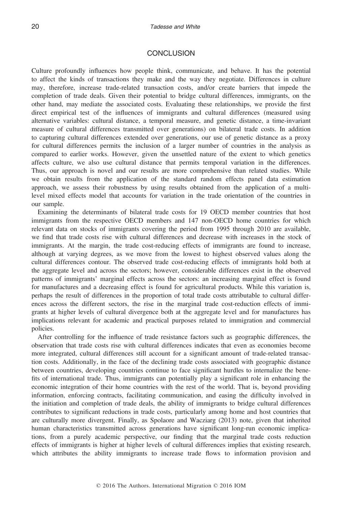#### **CONCLUSION**

Culture profoundly influences how people think, communicate, and behave. It has the potential to affect the kinds of transactions they make and the way they negotiate. Differences in culture may, therefore, increase trade-related transaction costs, and/or create barriers that impede the completion of trade deals. Given their potential to bridge cultural differences, immigrants, on the other hand, may mediate the associated costs. Evaluating these relationships, we provide the first direct empirical test of the influences of immigrants and cultural differences (measured using alternative variables: cultural distance, a temporal measure, and genetic distance, a time-invariant measure of cultural differences transmitted over generations) on bilateral trade costs. In addition to capturing cultural differences extended over generations, our use of genetic distance as a proxy for cultural differences permits the inclusion of a larger number of countries in the analysis as compared to earlier works. However, given the unsettled nature of the extent to which genetics affects culture, we also use cultural distance that permits temporal variation in the differences. Thus, our approach is novel and our results are more comprehensive than related studies. While we obtain results from the application of the standard random effects panel data estimation approach, we assess their robustness by using results obtained from the application of a multilevel mixed effects model that accounts for variation in the trade orientation of the countries in our sample.

Examining the determinants of bilateral trade costs for 19 OECD member countries that host immigrants from the respective OECD members and 147 non-OECD home countries for which relevant data on stocks of immigrants covering the period from 1995 through 2010 are available, we find that trade costs rise with cultural differences and decrease with increases in the stock of immigrants. At the margin, the trade cost-reducing effects of immigrants are found to increase, although at varying degrees, as we move from the lowest to highest observed values along the cultural differences contour. The observed trade cost-reducing effects of immigrants hold both at the aggregate level and across the sectors; however, considerable differences exist in the observed patterns of immigrants' marginal effects across the sectors: an increasing marginal effect is found for manufactures and a decreasing effect is found for agricultural products. While this variation is, perhaps the result of differences in the proportion of total trade costs attributable to cultural differences across the different sectors, the rise in the marginal trade cost-reduction effects of immigrants at higher levels of cultural divergence both at the aggregate level and for manufactures has implications relevant for academic and practical purposes related to immigration and commercial policies.

After controlling for the influence of trade resistance factors such as geographic differences, the observation that trade costs rise with cultural differences indicates that even as economies become more integrated, cultural differences still account for a significant amount of trade-related transaction costs. Additionally, in the face of the declining trade costs associated with geographic distance between countries, developing countries continue to face significant hurdles to internalize the benefits of international trade. Thus, immigrants can potentially play a significant role in enhancing the economic integration of their home countries with the rest of the world. That is, beyond providing information, enforcing contracts, facilitating communication, and easing the difficulty involved in the initiation and completion of trade deals, the ability of immigrants to bridge cultural differences contributes to significant reductions in trade costs, particularly among home and host countries that are culturally more divergent. Finally, as Spolaore and Wacziarg (2013) note, given that inherited human characteristics transmitted across generations have significant long-run economic implications, from a purely academic perspective, our finding that the marginal trade costs reduction effects of immigrants is higher at higher levels of cultural differences implies that existing research, which attributes the ability immigrants to increase trade flows to information provision and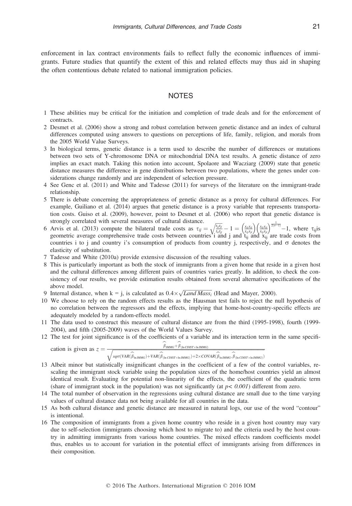enforcement in lax contract environments fails to reflect fully the economic influences of immigrants. Future studies that quantify the extent of this and related effects may thus aid in shaping the often contentious debate related to national immigration policies.

#### **NOTES**

- 1 These abilities may be critical for the initiation and completion of trade deals and for the enforcement of contracts.
- 2 Desmet et al. (2006) show a strong and robust correlation between genetic distance and an index of cultural differences computed using answers to questions on perceptions of life, family, religion, and morals from the 2005 World Value Surveys.
- 3 In biological terms, genetic distance is a term used to describe the number of differences or mutations between two sets of Y-chromosome DNA or mitochondrial DNA test results. A genetic distance of zero implies an exact match. Taking this notion into account, Spolaore and Wacziarg (2009) state that genetic distance measures the difference in gene distributions between two populations, where the genes under considerations change randomly and are independent of selection pressure.
- 4 See Genc et al. (2011) and White and Tadesse (2011) for surveys of the literature on the immigrant-trade relationship.
- 5 There is debate concerning the appropriateness of genetic distance as a proxy for cultural differences. For example, Guiliano et al. (2014) argues that genetic distance is a proxy variable that represents transportation costs. Guiso et al. (2009), however, point to Desmet et al. (2006) who report that genetic distance is strongly correlated with several measures of cultural distance.
- Subsidiary conclated with several measures of cultural unstance.<br>6 Arvis et al. (2013) compute the bilateral trade costs as  $\tau_{ij} = \sqrt{\frac{I_{ij}I_{ji}}{I_{il}} 1} = \left(\frac{X_{ij}X_{ij}}{X_{ij}X_{ij}}\right)^{\frac{1}{2(\sigma-1)}} 1$ , where  $\tau_{ij}$  is geometric average comprehensive trade costs between countries i and j and  $t_{ij}$  and  $\dot{x}_{ij}$  are trade costs from countries i to j and country i's consumption of products from country j, respectively, and  $\sigma$  denotes the elasticity of substitution.
- 7 Tadesse and White (2010a) provide extensive discussion of the resulting values.
- 8 This is particularly important as both the stock of immigrants from a given home that reside in a given host and the cultural differences among different pairs of countries varies greatly. In addition, to check the consistency of our results, we provide estimation results obtained from several alternative specifications of the above model.
- 9 Internal distance, when k = j, is calculated as  $0.4 \times \sqrt{Land Mass_i}$  (Head and Mayer, 2000).
- 10 We choose to rely on the random effects results as the Hausman test fails to reject the null hypothesis of no correlation between the regressors and the effects, implying that home-host-country-specific effects are adequately modeled by a random-effects model.
- 11 The data used to construct this measure of cultural distance are from the third (1995-1998), fourth (1999- 2004), and fifth (2005-2009) waves of the World Values Survey.
- 12 The test for joint significance is of the coefficients of a variable and its interaction term in the same specifi-

cation is given as  $z = \frac{\beta_{IMMG} + \beta_{(ln CDST \times lnIMMG)}}{\gamma}$  $sqrt(VAR(\beta_{\ln MMG})+VAR(\beta_{\langle \ln CDIST \times \ln IMMG \rangle})+2 \times COVAR(\beta_{\ln IMMG}, \beta_{\langle \ln CDIST \times \ln IMMG \rangle})$  $\overline{\phantom{a}}$ 

- 13 Albeit minor but statistically insignificant changes in the coefficient of a few of the control variables, rescaling the immigrant stock variable using the population sizes of the home/host countries yield an almost identical result. Evaluating for potential non-linearity of the effects, the coefficient of the quadratic term (share of immigrant stock in the population) was not significantly (at  $p < 0.001$ ) different from zero.
- 14 The total number of observation in the regressions using cultural distance are small due to the time varying values of cultural distance data not being available for all countries in the data.
- 15 As both cultural distance and genetic distance are measured in natural logs, our use of the word "contour" is intentional.
- 16 The composition of immigrants from a given home country who reside in a given host country may vary due to self-selection (immigrants choosing which host to migrate to) and the criteria used by the host country in admitting immigrants from various home countries. The mixed effects random coefficients model thus, enables us to account for variation in the potential effect of immigrants arising from differences in their composition.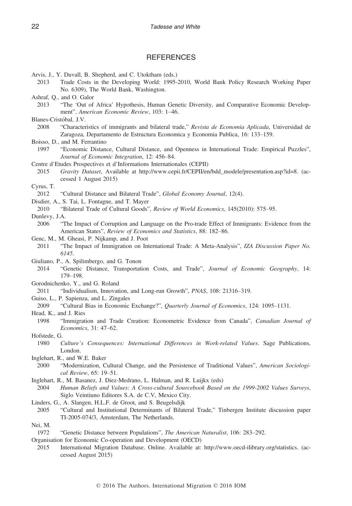# **REFERENCES**

Arvis, J., Y. Duvall, B. Shepherd, and C. Utoktham (eds.)

2013 Trade Costs in the Developing World: 1995-2010, World Bank Policy Research Working Paper No. 6309), The World Bank, Washington.

Ashraf, Q., and O. Galor

2013 "The 'Out of Africa' Hypothesis, Human Genetic Diversity, and Comparative Economic Development", American Economic Review, 103: 1–46.

Blanes-Cristóbal, J.V.

2008 "Characteristics of immigrants and bilateral trade," Revista de Economia Aplicada, Universidad de Zaragoza, Departamento de Estructura Economica y Economia Publica, 16: 133–159.

Boisso, D., and M. Ferrantino

- 1997 "Economic Distance, Cultural Distance, and Openness in International Trade: Empirical Puzzles", Journal of Economic Integration, 12: 456–84.
- Centre d'Etudes Prospectives et d'Informations Internationales (CEPII)
- 2015 Gravity Dataset, Available at [http://www.cepii.fr/CEPII/en/bdd\\_modele/presentation.asp?id=8.](http://www.cepii.fr/CEPII/en/bdd_modele/presentation.asp?id=8) (accessed 1 August 2015)

Cyrus, T.

2012 "Cultural Distance and Bilateral Trade", Global Economy Journal, 12(4).

Disdier, A., S. Tai, L. Fontagne, and T. Mayer

2010 "Bilateral Trade of Cultural Goods", Review of World Economics, 145(2010): 575–95.

Dunlevy, J.A.

2006 "The Impact of Corruption and Language on the Pro-trade Effect of Immigrants: Evidence from the American States", Review of Economics and Statistics, 88: 182–86.

Genc, M., M. Gheasi, P. Nijkamp, and J. Poot

- 2011 "The Impact of Immigration on International Trade: A Meta-Analysis", IZA Discussion Paper No. 6145.
- Giuliano, P., A. Spilimbergo, and G. Tonon
- 2014 "Genetic Distance, Transportation Costs, and Trade", Journal of Economic Geography, 14: 179–198.
- Gorodnichenko, Y., and G. Roland
	- 2011 "Individualism, Innovation, and Long-run Growth", PNAS, 108: 21316–319.

Guiso, L., P. Sapienza, and L. Zingales

- 2009 "Cultural Bias in Economic Exchange?", Quarterly Journal of Economics, 124: 1095–1131.
- Head, K., and J. Ries
- 1998 "Immigration and Trade Creation: Econometric Evidence from Canada", Canadian Journal of Economics, 31: 47–62.

Hofstede, G.

1980 Culture's Consequences: International Differences in Work-related Values. Sage Publications, London.

- Inglehart, R., and W.E. Baker
- 2000 "Modernization, Cultural Change, and the Persistence of Traditional Values", American Sociological Review, 65: 19–51.
- Inglehart, R., M. Basanez, J. Diez-Medrano, L. Halman, and R. Luijkx (eds) 2004 Human Beliefs and Values: A Cross-cultural Sourcebook Based on the 1999-2002 Values Surveys, Siglo Veintiuno Editores S.A. de C.V, Mexico City.
- Linders, G., A. Slangen, H.L.F. de Groot, and S. Beugelsdijk
- 2005 "Cultural and Institutional Determinants of Bilateral Trade," Tinbergen Institute discussion paper TI-2005-074/3, Amsterdam, The Netherlands.

Nei, M.

- 1972 "Genetic Distance between Populations", The American Naturalist, 106: 283–292.
- Organisation for Economic Co-operation and Development (OECD)
- 2015 International Migration Database. Online. Available at:<http://www.oecd-ilibrary.org/statistics>. (accessed August 2015)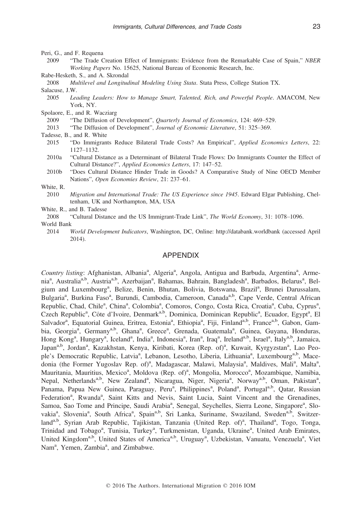Peri, G., and F. Requena

- 2009 "The Trade Creation Effect of Immigrants: Evidence from the Remarkable Case of Spain," NBER Working Papers No. 15625, National Bureau of Economic Research, Inc.
- Rabe-Hesketh, S., and A. Skrondal
- 2008 Multilevel and Longitudinal Modeling Using Stata. Stata Press, College Station TX.

Salacuse, J.W.

2005 Leading Leaders: How to Manage Smart, Talented, Rich, and Powerful People. AMACOM, New York, NY.

Spolaore, E., and R. Wacziarg

2009 "The Diffusion of Development", Quarterly Journal of Economics, 124: 469-529.

2013 "The Diffusion of Development", Journal of Economic Literature, 51: 325-369.

Tadesse, B., and R. White

- 2015 "Do Immigrants Reduce Bilateral Trade Costs? An Empirical", Applied Economics Letters, 22: 1127–1132.
- 2010a "Cultural Distance as a Determinant of Bilateral Trade Flows: Do Immigrants Counter the Effect of Cultural Distance?", Applied Economics Letters, 17: 147–52.
- 2010b "Does Cultural Distance Hinder Trade in Goods? A Comparative Study of Nine OECD Member Nations", Open Economies Review, 21: 237–61.

White, R.

2010 Migration and International Trade: The US Experience since 1945. Edward Elgar Publishing, Cheltenham, UK and Northampton, MA, USA

White, R., and B. Tadesse

2008 "Cultural Distance and the US Immigrant-Trade Link", The World Economy, 31: 1078–1096.

World Bank<br> $2014$ 2014 World Development Indicators, Washington, DC, Online:<http://databank.worldbank> (accessed April 2014).

## APPENDIX

Country listing: Afghanistan, Albania<sup>a</sup>, Algeria<sup>a</sup>, Angola, Antigua and Barbuda, Argentina<sup>a</sup>, Armenia<sup>a</sup>, Australia<sup>a,b</sup>, Austria<sup>a,b</sup>, Azerbaijan<sup>a</sup>, Bahamas, Bahrain, Bangladesh<sup>a</sup>, Barbados, Belarus<sup>a</sup>, Belgium and Luxembourg<sup>a</sup>, Belize, Benin, Bhutan, Bolivia, Botswana, Brazil<sup>a</sup>, Brunei Darussalam, Bulgaria<sup>a</sup>, Burkina Faso<sup>a</sup>, Burundi, Cambodia, Cameroon, Canada<sup>a,b</sup>, Cape Verde, Central African Republic, Chad, Chile<sup>a</sup>, China<sup>a</sup>, Colombia<sup>a</sup>, Comoros, Congo, Costa Rica, Croatia<sup>a</sup>, Cuba, Cyprus<sup>a</sup>, Czech Republic<sup>a</sup>, Côte d'Ivoire, Denmark<sup>a,b</sup>, Dominica, Dominican Republic<sup>a</sup>, Ecuador, Egypt<sup>a</sup>, El Salvador<sup>a</sup>, Equatorial Guinea, Eritrea, Estonia<sup>a</sup>, Ethiopia<sup>a</sup>, Fiji, Finland<sup>a,b</sup>, France<sup>a,b</sup>, Gabon, Gambia, Georgia<sup>a</sup>, Germany<sup>a,b</sup>, Ghana<sup>a</sup>, Greece<sup>a</sup>, Grenada, Guatemala<sup>a</sup>, Guinea, Guyana, Honduras, Hong Kong<sup>a</sup>, Hungary<sup>a</sup>, Iceland<sup>a</sup>, India<sup>a</sup>, Indonesia<sup>a</sup>, Iran<sup>a</sup>, Iraq<sup>a</sup>, Ireland<sup>a,b</sup>, Israel<sup>a</sup>, Italy<sup>a,b</sup>, Jamaica, Japan<sup>a,b</sup>, Jordan<sup>a</sup>, Kazakhstan, Kenya, Kiribati, Korea (Rep. of)<sup>a</sup>, Kuwait, Kyrgyzstan<sup>a</sup>, Lao People's Democratic Republic, Latvia<sup>a</sup>, Lebanon, Lesotho, Liberia, Lithuania<sup>a</sup>, Luxembourg<sup>a,b</sup>, Macedonia (the Former Yugoslav Rep. of)<sup>a</sup>, Madagascar, Malawi, Malaysia<sup>a</sup>, Maldives, Mali<sup>a</sup>, Malta<sup>a</sup>, Mauritania, Mauritius, Mexico<sup>a</sup>, Moldova (Rep. of)<sup>a</sup>, Mongolia, Morocco<sup>a</sup>, Mozambique, Namibia, Nepal, Netherlands<sup>a,b</sup>, New Zealand<sup>a</sup>, Nicaragua, Niger, Nigeria<sup>a</sup>, Norway<sup>a,b</sup>, Oman, Pakistan<sup>a</sup>, Panama, Papua New Guinea, Paraguay, Peru<sup>a</sup>, Philippines<sup>a</sup>, Poland<sup>a</sup>, Portugal<sup>a,b</sup>, Qatar, Russian Federation<sup>a</sup>, Rwanda<sup>a</sup>, Saint Kitts and Nevis, Saint Lucia, Saint Vincent and the Grenadines, Samoa, Sao Tome and Principe, Saudi Arabia<sup>a</sup>, Senegal, Seychelles, Sierra Leone, Singapore<sup>a</sup>, Slovakia<sup>a</sup>, Slovenia<sup>a</sup>, South Africa<sup>a</sup>, Spain<sup>a,b</sup>, Sri Lanka, Suriname, Swaziland, Sweden<sup>a,b</sup>, Switzerland<sup>a,b</sup>, Syrian Arab Republic, Tajikistan, Tanzania (United Rep. of)<sup>a</sup>, Thailand<sup>a</sup>, Togo, Tonga, Trinidad and Tobago<sup>a</sup>, Tunisia, Turkey<sup>a</sup>, Turkmenistan, Uganda, Ukraine<sup>a</sup>, United Arab Emirates, United Kingdom<sup>a,b</sup>, United States of America<sup>a,b</sup>, Uruguay<sup>a</sup>, Uzbekistan, Vanuatu, Venezuela<sup>a</sup>, Viet Nam<sup>a</sup>, Yemen, Zambia<sup>a</sup>, and Zimbabwe.